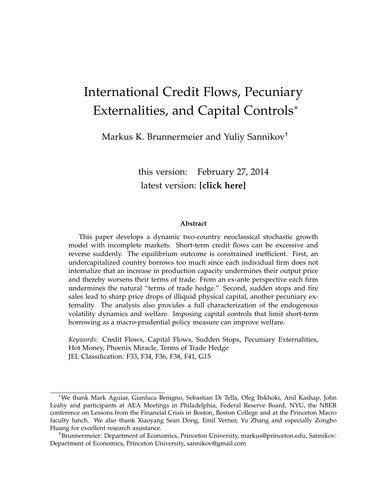# International Credit Flows, Pecuniary Externalities, and Capital Controls<sup>∗</sup>

Markus K. Brunnermeier and Yuliy Sannikov†

this version: February 27, 2014 [latest version:](https://www.dropbox.com/s/i43gtowevdqj0rl/_BrunnermeierSannikovInternational.pdf) **[click here]**

#### **Abstract**

This paper develops a dynamic two-country neoclassical stochastic growth model with incomplete markets. Short-term credit flows can be excessive and reverse suddenly. The equilibrium outcome is constrained inefficient. First, an undercapitalized country borrows too much since each individual firm does not internalize that an increase in production capacity undermines their output price and thereby worsens their terms of trade. From an ex-ante perspective each firm undermines the natural "terms of trade hedge." Second, sudden stops and fire sales lead to sharp price drops of illiquid physical capital, another pecuniary externality. The analysis also provides a full characterization of the endogenous volatility dynamics and welfare. Imposing capital controls that limit short-term borrowing as a macro-prudential policy measure can improve welfare.

*Keywords:* Credit Flows, Capital Flows, Sudden Stops, Pecuniary Externalities, Hot Money, Phoenix Miracle, Terms of Trade Hedge JEL Classification: F33, F34, F36, F38, F41, G15

<sup>∗</sup>We thank Mark Aguiar, Gianluca Benigno, Sebastian Di Tella, Oleg Itskhoki, Anil Kashap, John Leahy and participants at AEA Meetings in Philadelphia, Federal Reserve Board, NYU, the NBER conference on Lessons from the Financial Crisis in Boston, Boston College and at the Princeton Macro faculty lunch. We also thank Xiaoyang Sean Dong, Emil Verner, Yu Zhang and especially Zongbo Huang for excellent research assistance.

<sup>†</sup>Brunnermeier: Department of Economics, Princeton University, markus@princeton.edu, Sannikov: Department of Economics, Princeton University, sannikov@gmail.com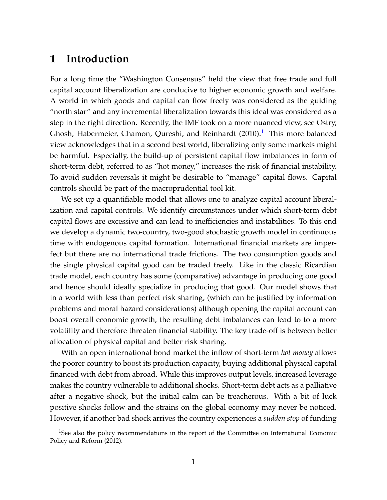# **1 Introduction**

For a long time the "Washington Consensus" held the view that free trade and full capital account liberalization are conducive to higher economic growth and welfare. A world in which goods and capital can flow freely was considered as the guiding "north star" and any incremental liberalization towards this ideal was considered as a step in the right direction. Recently, the IMF took on a more nuanced view, see [Ostry,](#page-38-0) [Ghosh, Habermeier, Chamon, Qureshi, and Reinhardt](#page-38-0)  $(2010).$  $(2010).$ <sup>[1](#page-1-0)</sup> This more balanced view acknowledges that in a second best world, liberalizing only some markets might be harmful. Especially, the build-up of persistent capital flow imbalances in form of short-term debt, referred to as "hot money," increases the risk of financial instability. To avoid sudden reversals it might be desirable to "manage" capital flows. Capital controls should be part of the macroprudential tool kit.

We set up a quantifiable model that allows one to analyze capital account liberalization and capital controls. We identify circumstances under which short-term debt capital flows are excessive and can lead to inefficiencies and instabilities. To this end we develop a dynamic two-country, two-good stochastic growth model in continuous time with endogenous capital formation. International financial markets are imperfect but there are no international trade frictions. The two consumption goods and the single physical capital good can be traded freely. Like in the classic Ricardian trade model, each country has some (comparative) advantage in producing one good and hence should ideally specialize in producing that good. Our model shows that in a world with less than perfect risk sharing, (which can be justified by information problems and moral hazard considerations) although opening the capital account can boost overall economic growth, the resulting debt imbalances can lead to to a more volatility and therefore threaten financial stability. The key trade-off is between better allocation of physical capital and better risk sharing.

With an open international bond market the inflow of short-term *hot money* allows the poorer country to boost its production capacity, buying additional physical capital financed with debt from abroad. While this improves output levels, increased leverage makes the country vulnerable to additional shocks. Short-term debt acts as a palliative after a negative shock, but the initial calm can be treacherous. With a bit of luck positive shocks follow and the strains on the global economy may never be noticed. However, if another bad shock arrives the country experiences a *sudden stop* of funding

<span id="page-1-0"></span><sup>&</sup>lt;sup>1</sup>See also the policy recommendations in the report of the [Committee on International Economic](#page-36-0) [Policy and Reform](#page-36-0) [\(2012\)](#page-36-0).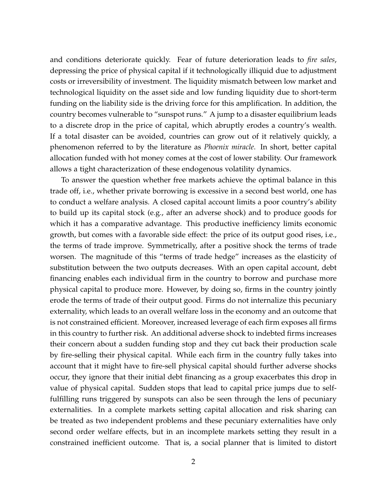and conditions deteriorate quickly. Fear of future deterioration leads to *fire sales*, depressing the price of physical capital if it technologically illiquid due to adjustment costs or irreversibility of investment. The liquidity mismatch between low market and technological liquidity on the asset side and low funding liquidity due to short-term funding on the liability side is the driving force for this amplification. In addition, the country becomes vulnerable to "sunspot runs." A jump to a disaster equilibrium leads to a discrete drop in the price of capital, which abruptly erodes a country's wealth. If a total disaster can be avoided, countries can grow out of it relatively quickly, a phenomenon referred to by the literature as *Phoenix miracle*. In short, better capital allocation funded with hot money comes at the cost of lower stability. Our framework allows a tight characterization of these endogenous volatility dynamics.

To answer the question whether free markets achieve the optimal balance in this trade off, i.e., whether private borrowing is excessive in a second best world, one has to conduct a welfare analysis. A closed capital account limits a poor country's ability to build up its capital stock (e.g., after an adverse shock) and to produce goods for which it has a comparative advantage. This productive inefficiency limits economic growth, but comes with a favorable side effect: the price of its output good rises, i.e., the terms of trade improve. Symmetrically, after a positive shock the terms of trade worsen. The magnitude of this "terms of trade hedge" increases as the elasticity of substitution between the two outputs decreases. With an open capital account, debt financing enables each individual firm in the country to borrow and purchase more physical capital to produce more. However, by doing so, firms in the country jointly erode the terms of trade of their output good. Firms do not internalize this pecuniary externality, which leads to an overall welfare loss in the economy and an outcome that is not constrained efficient. Moreover, increased leverage of each firm exposes all firms in this country to further risk. An additional adverse shock to indebted firms increases their concern about a sudden funding stop and they cut back their production scale by fire-selling their physical capital. While each firm in the country fully takes into account that it might have to fire-sell physical capital should further adverse shocks occur, they ignore that their initial debt financing as a group exacerbates this drop in value of physical capital. Sudden stops that lead to capital price jumps due to selffulfilling runs triggered by sunspots can also be seen through the lens of pecuniary externalities. In a complete markets setting capital allocation and risk sharing can be treated as two independent problems and these pecuniary externalities have only second order welfare effects, but in an incomplete markets setting they result in a constrained inefficient outcome. That is, a social planner that is limited to distort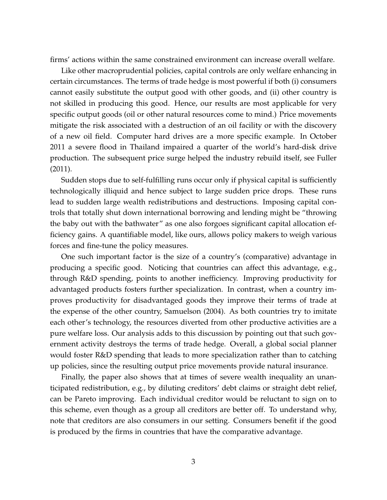firms' actions within the same constrained environment can increase overall welfare.

Like other macroprudential policies, capital controls are only welfare enhancing in certain circumstances. The terms of trade hedge is most powerful if both (i) consumers cannot easily substitute the output good with other goods, and (ii) other country is not skilled in producing this good. Hence, our results are most applicable for very specific output goods (oil or other natural resources come to mind.) Price movements mitigate the risk associated with a destruction of an oil facility or with the discovery of a new oil field. Computer hard drives are a more specific example. In October 2011 a severe flood in Thailand impaired a quarter of the world's hard-disk drive production. The subsequent price surge helped the industry rebuild itself, see [Fuller](#page-36-1) [\(2011\)](#page-36-1).

Sudden stops due to self-fulfilling runs occur only if physical capital is sufficiently technologically illiquid and hence subject to large sudden price drops. These runs lead to sudden large wealth redistributions and destructions. Imposing capital controls that totally shut down international borrowing and lending might be "throwing the baby out with the bathwater" as one also forgoes significant capital allocation efficiency gains. A quantifiable model, like ours, allows policy makers to weigh various forces and fine-tune the policy measures.

One such important factor is the size of a country's (comparative) advantage in producing a specific good. Noticing that countries can affect this advantage, e.g., through R&D spending, points to another inefficiency. Improving productivity for advantaged products fosters further specialization. In contrast, when a country improves productivity for disadvantaged goods they improve their terms of trade at the expense of the other country, [Samuelson](#page-38-1) [\(2004\)](#page-38-1). As both countries try to imitate each other's technology, the resources diverted from other productive activities are a pure welfare loss. Our analysis adds to this discussion by pointing out that such government activity destroys the terms of trade hedge. Overall, a global social planner would foster R&D spending that leads to more specialization rather than to catching up policies, since the resulting output price movements provide natural insurance.

Finally, the paper also shows that at times of severe wealth inequality an unanticipated redistribution, e.g., by diluting creditors' debt claims or straight debt relief, can be Pareto improving. Each individual creditor would be reluctant to sign on to this scheme, even though as a group all creditors are better off. To understand why, note that creditors are also consumers in our setting. Consumers benefit if the good is produced by the firms in countries that have the comparative advantage.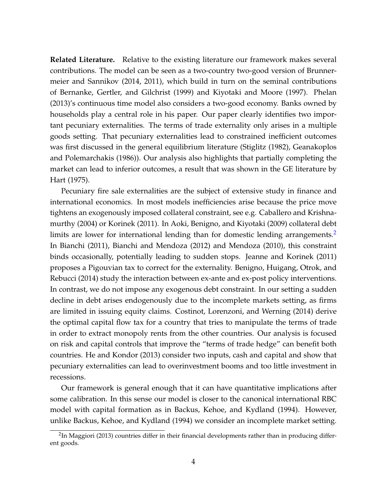**Related Literature.** Relative to the existing literature our framework makes several contributions. The model can be seen as a two-country two-good version of [Brunner](#page-35-0)[meier and Sannikov](#page-35-0) [\(2014,](#page-35-0) [2011\)](#page-35-1), which build in turn on the seminal contributions of [Bernanke, Gertler, and Gilchrist](#page-35-2) [\(1999\)](#page-35-2) and [Kiyotaki and Moore](#page-37-0) [\(1997\)](#page-37-0). [Phelan](#page-38-2) [\(2013\)](#page-38-2)'s continuous time model also considers a two-good economy. Banks owned by households play a central role in his paper. Our paper clearly identifies two important pecuniary externalities. The terms of trade externality only arises in a multiple goods setting. That pecuniary externalities lead to constrained inefficient outcomes was first discussed in the general equilibrium literature [\(Stiglitz](#page-38-3) [\(1982\)](#page-38-3), [Geanakoplos](#page-36-2) [and Polemarchakis](#page-36-2) [\(1986\)](#page-36-2)). Our analysis also highlights that partially completing the market can lead to inferior outcomes, a result that was shown in the GE literature by [Hart](#page-36-3) [\(1975\)](#page-36-3).

Pecuniary fire sale externalities are the subject of extensive study in finance and international economics. In most models inefficiencies arise because the price move tightens an exogenously imposed collateral constraint, see e.g. [Caballero and Krishna](#page-35-3)[murthy](#page-35-3) [\(2004\)](#page-35-3) or [Korinek](#page-37-1) [\(2011\)](#page-37-1). In [Aoki, Benigno, and Kiyotaki](#page-34-0) [\(2009\)](#page-34-0) collateral debt limits are lower for international lending than for domestic lending arrangements. In [Bianchi](#page-35-4) [\(2011\)](#page-35-4), [Bianchi and Mendoza](#page-35-5) [\(2012\)](#page-35-5) and [Mendoza](#page-37-2) [\(2010\)](#page-37-2), this constraint binds occasionally, potentially leading to sudden stops. [Jeanne and Korinek](#page-37-3) [\(2011\)](#page-37-3) proposes a Pigouvian tax to correct for the externality. [Benigno, Huigang, Otrok, and](#page-34-1) [Rebucci](#page-34-1) [\(2014\)](#page-34-1) study the interaction between ex-ante and ex-post policy interventions. In contrast, we do not impose any exogenous debt constraint. In our setting a sudden decline in debt arises endogenously due to the incomplete markets setting, as firms are limited in issuing equity claims. [Costinot, Lorenzoni, and Werning](#page-36-4) [\(2014\)](#page-36-4) derive the optimal capital flow tax for a country that tries to manipulate the terms of trade in order to extract monopoly rents from the other countries. Our analysis is focused on risk and capital controls that improve the "terms of trade hedge" can benefit both countries. [He and Kondor](#page-36-5) [\(2013\)](#page-36-5) consider two inputs, cash and capital and show that pecuniary externalities can lead to overinvestment booms and too little investment in recessions.

Our framework is general enough that it can have quantitative implications after some calibration. In this sense our model is closer to the canonical international RBC model with capital formation as in [Backus, Kehoe, and Kydland](#page-34-2) [\(1994\)](#page-34-2). However, unlike [Backus, Kehoe, and Kydland](#page-34-2) [\(1994\)](#page-34-2) we consider an incomplete market setting.

<span id="page-4-0"></span> $^2$ In [Maggiori](#page-37-4) [\(2013\)](#page-37-4) countries differ in their financial developments rather than in producing different goods.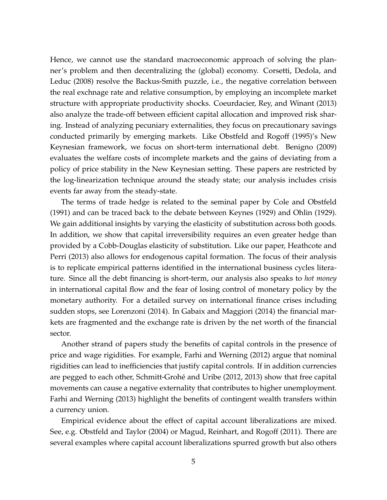Hence, we cannot use the standard macroeconomic approach of solving the planner's problem and then decentralizing the (global) economy. [Corsetti, Dedola, and](#page-36-6) [Leduc](#page-36-6) [\(2008\)](#page-36-6) resolve the Backus-Smith puzzle, i.e., the negative correlation between the real exchnage rate and relative consumption, by employing an incomplete market structure with appropriate productivity shocks. [Coeurdacier, Rey, and Winant](#page-35-6) [\(2013\)](#page-35-6) also analyze the trade-off between efficient capital allocation and improved risk sharing. Instead of analyzing pecuniary externalities, they focus on precautionary savings conducted primarily by emerging markets. Like [Obstfeld and Rogoff](#page-37-5) [\(1995\)](#page-37-5)'s New Keynesian framework, we focus on short-term international debt. [Benigno](#page-34-3) [\(2009\)](#page-34-3) evaluates the welfare costs of incomplete markets and the gains of deviating from a policy of price stability in the New Keynesian setting. These papers are restricted by the log-linearization technique around the steady state; our analysis includes crisis events far away from the steady-state.

The terms of trade hedge is related to the seminal paper by [Cole and Obstfeld](#page-35-7) [\(1991\)](#page-35-7) and can be traced back to the debate between [Keynes](#page-37-6) [\(1929\)](#page-37-6) and [Ohlin](#page-37-7) [\(1929\)](#page-37-7). We gain additional insights by varying the elasticity of substitution across both goods. In addition, we show that capital irreversibility requires an even greater hedge than provided by a Cobb-Douglas elasticity of substitution. Like our paper, [Heathcote and](#page-36-7) [Perri](#page-36-7) [\(2013\)](#page-36-7) also allows for endogenous capital formation. The focus of their analysis is to replicate empirical patterns identified in the international business cycles literature. Since all the debt financing is short-term, our analysis also speaks to *hot money* in international capital flow and the fear of losing control of monetary policy by the monetary authority. For a detailed survey on international finance crises including sudden stops, see [Lorenzoni](#page-37-8) [\(2014\)](#page-37-8). In [Gabaix and Maggiori](#page-36-8) [\(2014\)](#page-36-8) the financial markets are fragmented and the exchange rate is driven by the net worth of the financial sector.

Another strand of papers study the benefits of capital controls in the presence of price and wage rigidities. For example, [Farhi and Werning](#page-36-9) [\(2012\)](#page-36-9) argue that nominal rigidities can lead to inefficiencies that justify capital controls. If in addition currencies are pegged to each other, Schmitt-Grohé and Uribe [\(2012,](#page-38-4) [2013\)](#page-38-5) show that free capital movements can cause a negative externality that contributes to higher unemployment. [Farhi and Werning](#page-36-10) [\(2013\)](#page-36-10) highlight the benefits of contingent wealth transfers within a currency union.

Empirical evidence about the effect of capital account liberalizations are mixed. See, e.g. [Obstfeld and Taylor](#page-37-9) [\(2004\)](#page-37-9) or [Magud, Reinhart, and Rogoff](#page-37-10) [\(2011\)](#page-37-10). There are several examples where capital account liberalizations spurred growth but also others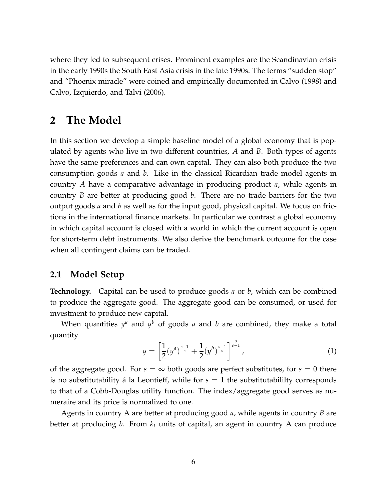where they led to subsequent crises. Prominent examples are the Scandinavian crisis in the early 1990s the South East Asia crisis in the late 1990s. The terms "sudden stop" and "Phoenix miracle" were coined and empirically documented in [Calvo](#page-35-8) [\(1998\)](#page-35-8) and [Calvo, Izquierdo, and Talvi](#page-35-9) [\(2006\)](#page-35-9).

## **2 The Model**

In this section we develop a simple baseline model of a global economy that is populated by agents who live in two different countries, *A* and *B*. Both types of agents have the same preferences and can own capital. They can also both produce the two consumption goods *a* and *b*. Like in the classical Ricardian trade model agents in country *A* have a comparative advantage in producing product *a*, while agents in country *B* are better at producing good *b*. There are no trade barriers for the two output goods *a* and *b* as well as for the input good, physical capital. We focus on frictions in the international finance markets. In particular we contrast a global economy in which capital account is closed with a world in which the current account is open for short-term debt instruments. We also derive the benchmark outcome for the case when all contingent claims can be traded.

### **2.1 Model Setup**

**Technology.** Capital can be used to produce goods *a* or *b*, which can be combined to produce the aggregate good. The aggregate good can be consumed, or used for investment to produce new capital.

When quantities  $y^a$  and  $y^b$  of goods  $a$  and  $b$  are combined, they make a total quantity

$$
y = \left[\frac{1}{2}(y^a)^{\frac{s-1}{s}} + \frac{1}{2}(y^b)^{\frac{s-1}{s}}\right]^{\frac{s}{s-1}},\tag{1}
$$

of the aggregate good. For  $s = \infty$  both goods are perfect substitutes, for  $s = 0$  there is no substitutability á la Leontieff, while for  $s = 1$  the substitutabililty corresponds to that of a Cobb-Douglas utility function. The index/aggregate good serves as numeraire and its price is normalized to one.

Agents in country A are better at producing good *a*, while agents in country *B* are better at producing *b*. From *k<sup>t</sup>* units of capital, an agent in country A can produce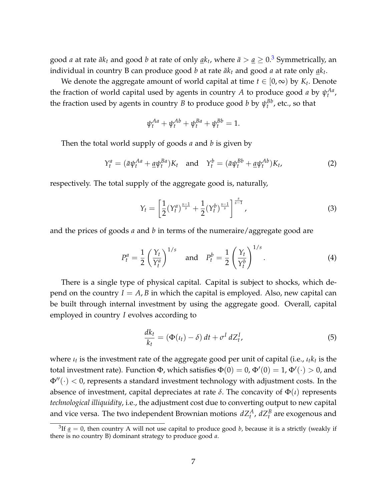good *a* at rate  $\bar{a}k_t$  and good *b* at rate of only  $\underline{a}k_t$ , where  $\bar{a}>\underline{a}\geq 0.3$  $\bar{a}>\underline{a}\geq 0.3$  Symmetrically, an individual in country B can produce good  $b$  at rate  $\bar{a}k_t$  and good  $a$  at rate only  $\underline{a}k_t.$ 

We denote the aggregate amount of world capital at time  $t \in [0,\infty)$  by  $K_t$ . Denote the fraction of world capital used by agents in country *A* to produce good *a* by  $\psi_t^{Aa}$ , the fraction used by agents in country *B* to produce good *b* by  $\psi_t^{Bb}$ , etc., so that

$$
\psi_t^{Aa} + \psi_t^{Ab} + \psi_t^{Ba} + \psi_t^{Bb} = 1.
$$

Then the total world supply of goods *a* and *b* is given by

<span id="page-7-3"></span>
$$
Y_t^a = (\bar{a}\psi_t^{Aa} + \underline{a}\psi_t^{Ba})K_t \quad \text{and} \quad Y_t^b = (\bar{a}\psi_t^{Bb} + \underline{a}\psi_t^{Ab})K_t,
$$
 (2)

respectively. The total supply of the aggregate good is, naturally,

<span id="page-7-2"></span>
$$
Y_t = \left[\frac{1}{2}(Y_t^a)^{\frac{s-1}{s}} + \frac{1}{2}(Y_t^b)^{\frac{s-1}{s}}\right]^{\frac{s}{s-1}},\tag{3}
$$

and the prices of goods *a* and *b* in terms of the numeraire/aggregate good are

<span id="page-7-4"></span>
$$
P_t^a = \frac{1}{2} \left( \frac{Y_t}{Y_t^a} \right)^{1/s} \quad \text{and} \quad P_t^b = \frac{1}{2} \left( \frac{Y_t}{Y_t^b} \right)^{1/s}.
$$
 (4)

There is a single type of physical capital. Capital is subject to shocks, which depend on the country  $I = A$ , *B* in which the capital is employed. Also, new capital can be built through internal investment by using the aggregate good. Overall, capital employed in country *I* evolves according to

<span id="page-7-1"></span>
$$
\frac{dk_t}{k_t} = (\Phi(\iota_t) - \delta) dt + \sigma^I dZ_t^I,
$$
\n(5)

where *ι<sup>t</sup>* is the investment rate of the aggregate good per unit of capital (i.e., *ιtk<sup>t</sup>* is the total investment rate). Function  $\Phi$ , which satisfies  $\Phi(0)=0$ ,  $\Phi'(0)=1$ ,  $\Phi'(\cdot)>0$ , and  $\Phi''(·)$  < 0, represents a standard investment technology with adjustment costs. In the absence of investment, capital depreciates at rate  $\delta$ . The concavity of  $\Phi(\iota)$  represents *technological illiquidity*, i.e., the adjustment cost due to converting output to new capital and vice versa. The two independent Brownian motions  $dZ_t^A$ ,  $dZ_t^B$  are exogenous and

<span id="page-7-0"></span> ${}^{3}$ If  $\underline{a} = 0$ , then country A will not use capital to produce good *b*, because it is a strictly (weakly if there is no country B) dominant strategy to produce good *a*.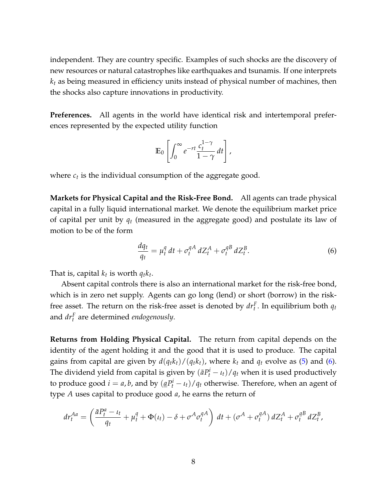independent. They are country specific. Examples of such shocks are the discovery of new resources or natural catastrophes like earthquakes and tsunamis. If one interprets *k<sup>t</sup>* as being measured in efficiency units instead of physical number of machines, then the shocks also capture innovations in productivity.

**Preferences.** All agents in the world have identical risk and intertemporal preferences represented by the expected utility function

$$
\mathbb{E}_0\left[\int_0^\infty e^{-rt}\frac{c_t^{1-\gamma}}{1-\gamma}\,dt\right],
$$

where  $c_t$  is the individual consumption of the aggregate good.

**Markets for Physical Capital and the Risk-Free Bond.** All agents can trade physical capital in a fully liquid international market. We denote the equilibrium market price of capital per unit by *q<sup>t</sup>* (measured in the aggregate good) and postulate its law of motion to be of the form

<span id="page-8-0"></span>
$$
\frac{dq_t}{q_t} = \mu_t^q dt + \sigma_t^{qA} dZ_t^A + \sigma_t^{qB} dZ_t^B.
$$
\n(6)

That is, capital  $k_t$  is worth  $q_t k_t$ .

Absent capital controls there is also an international market for the risk-free bond, which is in zero net supply. Agents can go long (lend) or short (borrow) in the riskfree asset. The return on the risk-free asset is denoted by  $dr_t^F$ . In equilibrium both  $q_t$ and *dr<sup>F</sup> t* are determined *endogenously*.

**Returns from Holding Physical Capital.** The return from capital depends on the identity of the agent holding it and the good that it is used to produce. The capital gains from capital are given by  $d(q_t k_t)/(q_t k_t)$ , where  $k_t$  and  $q_t$  evolve as [\(5\)](#page-7-1) and [\(6\)](#page-8-0). The dividend yield from capital is given by  $(\bar{a}P_t^i - \iota_t)/q_t$  when it is used productively to produce good  $i = a$ , *b*, and by  $(\underline{a}P_t^i - \iota_t)/q_t$  otherwise. Therefore, when an agent of type *A* uses capital to produce good *a*, he earns the return of

$$
dr_t^{Aa} = \left(\frac{\bar{a}P_t^a - \iota_t}{q_t} + \mu_t^q + \Phi(\iota_t) - \delta + \sigma^A \sigma_t^{qA}\right) dt + \left(\sigma^A + \sigma_t^{qA}\right) dZ_t^A + \sigma_t^{qB} dZ_t^B,
$$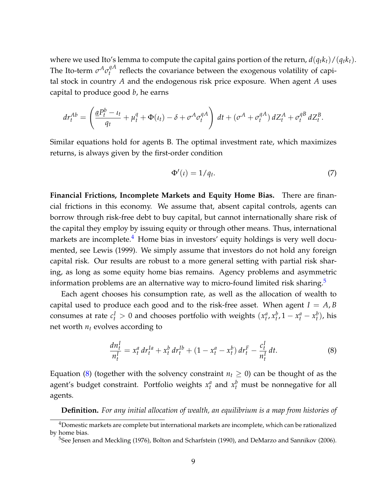where we used Ito's lemma to compute the capital gains portion of the return,  $d(q_t k_t)/(q_t k_t)$ . The Ito-term  $\sigma^A \sigma_t^{qA}$  $t_t^{\eta A}$  reflects the covariance between the exogenous volatility of capital stock in country *A* and the endogenous risk price exposure. When agent *A* uses capital to produce good *b*, he earns

$$
dr_t^{Ab} = \left(\frac{\underline{a}P_t^b - \iota_t}{q_t} + \mu_t^q + \Phi(\iota_t) - \delta + \sigma^A \sigma_t^{qA}\right) dt + \left(\sigma^A + \sigma_t^{qA}\right) dZ_t^A + \sigma_t^{qB} dZ_t^B.
$$

Similar equations hold for agents B. The optimal investment rate, which maximizes returns, is always given by the first-order condition

$$
\Phi'(\iota) = 1/q_t. \tag{7}
$$

**Financial Frictions, Incomplete Markets and Equity Home Bias.** There are financial frictions in this economy. We assume that, absent capital controls, agents can borrow through risk-free debt to buy capital, but cannot internationally share risk of the capital they employ by issuing equity or through other means. Thus, international markets are incomplete.<sup>[4](#page-9-0)</sup> Home bias in investors' equity holdings is very well documented, see [Lewis](#page-37-11) [\(1999\)](#page-37-11). We simply assume that investors do not hold any foreign capital risk. Our results are robust to a more general setting with partial risk sharing, as long as some equity home bias remains. Agency problems and asymmetric information problems are an alternative way to micro-found limited risk sharing.<sup>[5](#page-9-1)</sup>

Each agent chooses his consumption rate, as well as the allocation of wealth to capital used to produce each good and to the risk-free asset. When agent  $I = A$ , *B* consumes at rate  $c_t^I > 0$  and chooses portfolio with weights  $(x_t^a, x_t^b, 1 - x_t^a - x_t^b)$ , his net worth  $n_t$  evolves according to

<span id="page-9-2"></span>
$$
\frac{dn_t^I}{n_t^I} = x_t^a dr_t^{Ia} + x_t^b dr_t^{Ib} + (1 - x_t^a - x_t^b) dr_t^F - \frac{c_t^I}{n_t^I} dt.
$$
 (8)

Equation [\(8\)](#page-9-2) (together with the solvency constraint  $n_t \geq 0$ ) can be thought of as the agent's budget constraint. Portfolio weights  $x_t^a$  and  $x_t^b$  must be nonnegative for all agents.

**Definition.** *For any initial allocation of wealth, an equilibrium is a map from histories of*

<span id="page-9-0"></span><sup>&</sup>lt;sup>4</sup>Domestic markets are complete but international markets are incomplete, which can be rationalized by home bias.

<span id="page-9-1"></span><sup>&</sup>lt;sup>5</sup>See [Jensen and Meckling](#page-37-12) [\(1976\)](#page-37-12), [Bolton and Scharfstein](#page-35-10) [\(1990\)](#page-35-10), and [DeMarzo and Sannikov](#page-36-11) [\(2006\)](#page-36-11).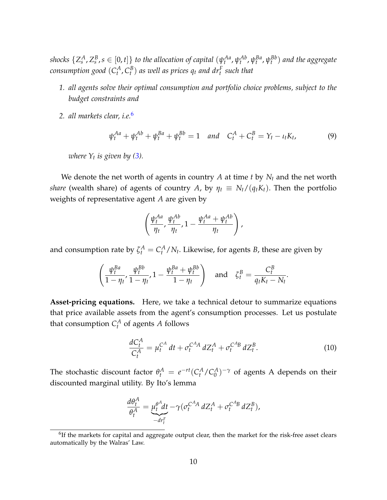shocks  $\{Z_s^A,Z_s^B,s\in[0,t]\}$  to the allocation of capital  $(\psi_t^{Aa},\psi_t^{Ab},\psi_t^{Ba},\psi_t^{Bb})$  and the aggregate consumption good  $(C_t^A,C_t^B)$  as well as prices  $q_t$  and  $dr_t^F$  such that

- *1. all agents solve their optimal consumption and portfolio choice problems, subject to the budget constraints and*
- *2. all markets clear, i.e.*[6](#page-10-0)

<span id="page-10-1"></span>
$$
\psi_t^{Aa} + \psi_t^{Ab} + \psi_t^{Ba} + \psi_t^{Bb} = 1 \quad and \quad C_t^A + C_t^B = Y_t - \iota_t K_t,\tag{9}
$$

*where Y<sup>t</sup> is given by [\(3\)](#page-7-2).*

We denote the net worth of agents in country  $A$  at time  $t$  by  $N_t$  and the net worth *share* (wealth share) of agents of country *A*, by  $\eta_t \equiv N_t/(q_t K_t)$ . Then the portfolio weights of representative agent *A* are given by

$$
\left(\frac{\psi_t^{Aa}}{\eta_t},\frac{\psi_t^{Ab}}{\eta_t},1-\frac{\psi_t^{Aa}+\psi_t^{Ab}}{\eta_t}\right),
$$

and consumption rate by  $\zeta_t^A = C_t^A/N_t$ . Likewise, for agents *B*, these are given by

$$
\left(\frac{\psi_t^{Ba}}{1-\eta_t}, \frac{\psi_t^{Bb}}{1-\eta_t}, 1-\frac{\psi_t^{Ba}+\psi_t^{Bb}}{1-\eta_t}\right) \quad \text{and} \quad \zeta_t^B = \frac{C_t^B}{q_tK_t-N_t}.
$$

**Asset-pricing equations.** Here, we take a technical detour to summarize equations that price available assets from the agent's consumption processes. Let us postulate that consumption  $C_t^A$  of agents  $A$  follows

<span id="page-10-2"></span>
$$
\frac{dC_t^A}{C_t^A} = \mu_t^{C^A} dt + \sigma_t^{C^A A} dZ_t^A + \sigma_t^{C^A B} dZ_t^B.
$$
 (10)

The stochastic discount factor  $\theta_t^A = e^{-rt} (C_t^A/C_0^A)$  $\binom{A}{0}$ <sup>- $\gamma$ </sup> of agents A depends on their discounted marginal utility. By Ito's lemma

$$
\frac{d\theta_t^A}{\theta_t^A} = \underbrace{\mu_t^{\theta^A} dt}_{-dr_t^F} - \gamma (\sigma_t^{C^A A} dZ_t^A + \sigma_t^{C^A B} dZ_t^B),
$$

<span id="page-10-0"></span> ${}^{6}$ If the markets for capital and aggregate output clear, then the market for the risk-free asset clears automatically by the Walras' Law.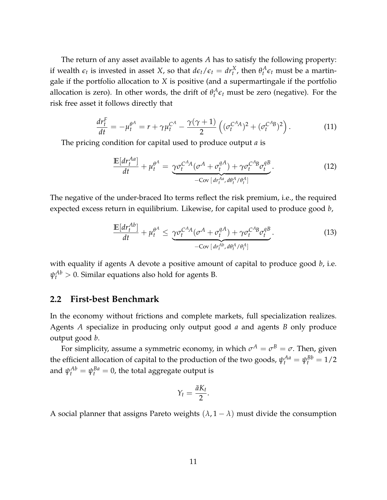The return of any asset available to agents *A* has to satisfy the following property: if wealth  $\epsilon_t$  is invested in asset *X*, so that  $d\epsilon_t/\epsilon_t = dr_t^X$ , then  $\theta_t^A \epsilon_t$  must be a martingale if the portfolio allocation to *X* is positive (and a supermartingale if the portfolio allocation is zero). In other words, the drift of  $\theta_t^A \epsilon_t$  must be zero (negative). For the risk free asset it follows directly that

<span id="page-11-2"></span>
$$
\frac{dr_t^F}{dt} = -\mu_t^{\theta^A} = r + \gamma \mu_t^{C^A} - \frac{\gamma(\gamma + 1)}{2} \left( (\sigma_t^{C^A A})^2 + (\sigma_t^{C^A B})^2 \right). \tag{11}
$$

The pricing condition for capital used to produce output *a* is

<span id="page-11-0"></span>
$$
\frac{\mathbb{E}[dr_t^{Aa}]}{dt} + \mu_t^{\theta^A} = \underbrace{\gamma \sigma_t^{C^A A} (\sigma^A + \sigma_t^{qA}) + \gamma \sigma_t^{C^A B} \sigma_t^{qB}}_{-\text{Cov}[dr_t^{Aa}, d\theta_t^A / \theta_t^A]}.
$$
(12)

The negative of the under-braced Ito terms reflect the risk premium, i.e., the required expected excess return in equilibrium. Likewise, for capital used to produce good *b*,

<span id="page-11-1"></span>
$$
\frac{\mathbb{E}[dr_t^{Ab}]}{dt} + \mu_t^{\theta^A} \leq \underbrace{\gamma \sigma_t^{C^A A} (\sigma^A + \sigma_t^{qA}) + \gamma \sigma_t^{C^A B} \sigma_t^{qB}}_{-\text{Cov}[dr_t^{Ab}, d\theta_t^A / \theta_t^A]}.
$$
\n(13)

with equality if agents A devote a positive amount of capital to produce good *b*, i.e.  $\psi_t^{Ab} > 0$ . Similar equations also hold for agents B.

### **2.2 First-best Benchmark**

In the economy without frictions and complete markets, full specialization realizes. Agents *A* specialize in producing only output good *a* and agents *B* only produce output good *b*.

For simplicity, assume a symmetric economy, in which  $\sigma^A = \sigma^B = \sigma.$  Then, given the efficient allocation of capital to the production of the two goods,  $\psi_t^{Aa} = \psi_t^{Bb} = 1/2$ and  $\psi^{Ab}_t = \psi^{Ba}_t = 0$ , the total aggregate output is

$$
Y_t = \frac{\bar{a}K_t}{2}.
$$

A social planner that assigns Pareto weights  $(\lambda, 1 - \lambda)$  must divide the consumption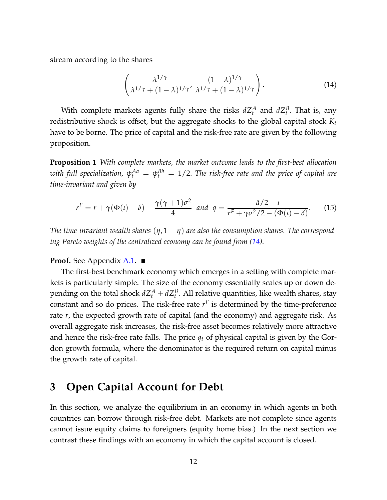stream according to the shares

<span id="page-12-0"></span>
$$
\left(\frac{\lambda^{1/\gamma}}{\lambda^{1/\gamma} + (1-\lambda)^{1/\gamma}}, \frac{(1-\lambda)^{1/\gamma}}{\lambda^{1/\gamma} + (1-\lambda)^{1/\gamma}}\right).
$$
\n(14)

With complete markets agents fully share the risks  $dZ_t^A$  and  $dZ_t^B$ . That is, any redistributive shock is offset, but the aggregate shocks to the global capital stock *K<sup>t</sup>* have to be borne. The price of capital and the risk-free rate are given by the following proposition.

<span id="page-12-1"></span>**Proposition 1** *With complete markets, the market outcome leads to the first-best allocation* with full specialization,  $\psi^{Aa}_t \ = \ \psi^{Bb}_t \ = \ 1/2.$  The risk-free rate and the price of capital are *time-invariant and given by*

$$
r^{F} = r + \gamma(\Phi(\iota) - \delta) - \frac{\gamma(\gamma + 1)\sigma^{2}}{4} \quad \text{and} \quad q = \frac{\bar{a}/2 - \iota}{r^{F} + \gamma\sigma^{2}/2 - (\Phi(\iota) - \delta)}.
$$
 (15)

*The time-invariant wealth shares* (*η*, 1 − *η*) *are also the consumption shares. The corresponding Pareto weights of the centralized economy can be found from [\(14\)](#page-12-0).*

**Proof.** See Appendix **[A.1.](#page-39-0)** ■

The first-best benchmark economy which emerges in a setting with complete markets is particularly simple. The size of the economy essentially scales up or down depending on the total shock  $dZ_t^A + dZ_t^B$ . All relative quantities, like wealth shares, stay constant and so do prices. The risk-free rate  $r<sup>F</sup>$  is determined by the time-preference rate *r*, the expected growth rate of capital (and the economy) and aggregate risk. As overall aggregate risk increases, the risk-free asset becomes relatively more attractive and hence the risk-free rate falls. The price *q<sup>t</sup>* of physical capital is given by the Gordon growth formula, where the denominator is the required return on capital minus the growth rate of capital.

# **3 Open Capital Account for Debt**

In this section, we analyze the equilibrium in an economy in which agents in both countries can borrow through risk-free debt. Markets are not complete since agents cannot issue equity claims to foreigners (equity home bias.) In the next section we contrast these findings with an economy in which the capital account is closed.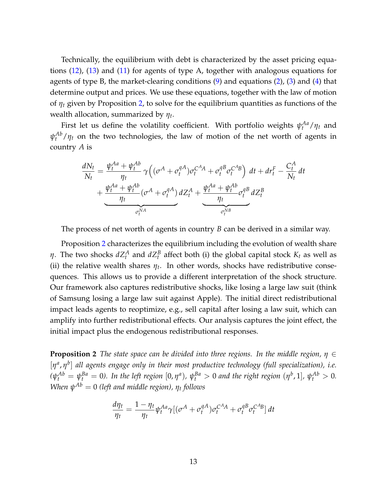Technically, the equilibrium with debt is characterized by the asset pricing equations [\(12\)](#page-11-0), [\(13\)](#page-11-1) and [\(11\)](#page-11-2) for agents of type A, together with analogous equations for agents of type B, the market-clearing conditions  $(9)$  and equations  $(2)$ ,  $(3)$  and  $(4)$  that determine output and prices. We use these equations, together with the law of motion of *η<sup>t</sup>* given by Proposition [2,](#page-13-0) to solve for the equilibrium quantities as functions of the wealth allocation, summarized by *η<sup>t</sup>* .

First let us define the volatility coefficient. With portfolio weights  $\psi_t^{Aa}/\eta_t$  and  $\psi_t^{Ab}/\eta_t$  on the two technologies, the law of motion of the net worth of agents in country *A* is

$$
\frac{dN_t}{N_t} = \frac{\psi_t^{Aa} + \psi_t^{Ab}}{\eta_t} \gamma \left( (\sigma^A + \sigma_t^{qA}) \sigma_t^{C^A A} + \sigma_t^{qB} \sigma_t^{C^A B} \right) dt + dr_t^F - \frac{C_t^A}{N_t} dt
$$

$$
+ \underbrace{\frac{\psi_t^{Aa} + \psi_t^{Ab}}{\eta_t} (\sigma^A + \sigma_t^{qA})} _{\sigma_t^{NA}} dZ_t^A + \underbrace{\frac{\psi_t^{Aa} + \psi_t^{Ab}}{\eta_t} \sigma_t^{qB} dZ_t^B}_{\sigma_t^{NB}}
$$

The process of net worth of agents in country *B* can be derived in a similar way.

Proposition [2](#page-13-0) characterizes the equilibrium including the evolution of wealth share *η*. The two shocks  $dZ_t^A$  and  $dZ_t^B$  affect both (i) the global capital stock  $K_t$  as well as (ii) the relative wealth shares  $\eta_t$ . In other words, shocks have redistributive consequences. This allows us to provide a different interpretation of the shock structure. Our framework also captures redistributive shocks, like losing a large law suit (think of Samsung losing a large law suit against Apple). The initial direct redistributional impact leads agents to reoptimize, e.g., sell capital after losing a law suit, which can amplify into further redistributional effects. Our analysis captures the joint effect, the initial impact plus the endogenous redistributional responses.

<span id="page-13-0"></span>**Proposition 2** *The state space can be divided into three regions. In the middle region, η* ∈ [*η a* , *η b* ] *all agents engage only in their most productive technology (full specialization), i.e.*  $(\psi_t^{Ab} = \psi_t^{Ba} = 0)$ . In the left region  $[0, \eta^a)$ ,  $\psi_t^{Ba} > 0$  and the right region  $(\eta^b, 1]$ ,  $\psi_t^{Ab} > 0$ .  $When ψ<sup>Ab</sup> = 0 (left and middle region), η<sub>t</sub> follows$ 

$$
\frac{d\eta_t}{\eta_t} = \frac{1 - \eta_t}{\eta_t} \psi_t^{Aa} \gamma \left[ (\sigma^A + \sigma_t^{qA}) \sigma_t^{C^A A} + \sigma_t^{qB} \sigma_t^{C^A B} \right] dt
$$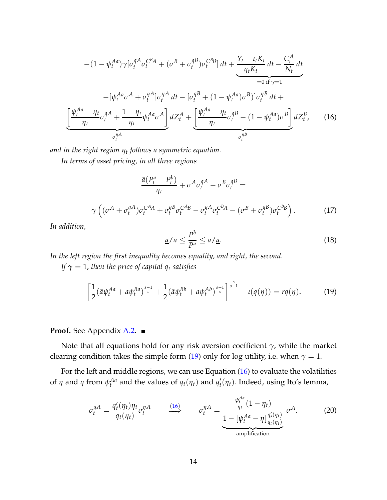$$
-(1 - \psi_t^{Aa})\gamma[\sigma_t^{qA}\sigma_t^{C^B A} + (\sigma^B + \sigma_t^{qB})\sigma_t^{C^B B}] dt + \underbrace{\frac{\gamma_t - \iota_t K_t}{q_t K_t} dt - \frac{C_t^A}{N_t} dt}_{=0 \text{ if } \gamma = 1}
$$
\n
$$
-[\psi_t^{Aa}\sigma^A + \sigma_t^{qA}]\sigma_t^{\eta A} dt - [\sigma_t^{qB} + (1 - \psi_t^{Aa})\sigma^B)]\sigma_t^{\eta B} dt + \underbrace{\left[\frac{\psi_t^{Aa} - \eta_t}{\eta_t}\sigma_t^{qA} + \frac{1 - \eta_t}{\eta_t}\psi_t^{Aa}\sigma^A\right] dZ_t^A + \left[\frac{\psi_t^{Aa} - \eta_t}{\eta_t}\sigma_t^{qB} - (1 - \psi_t^{Aa})\sigma^B\right]}_{\sigma_t^{\eta B}} dZ_t^B, \qquad (16)
$$

<span id="page-14-1"></span>*and in the right region η<sup>t</sup> follows a symmetric equation.*

*In terms of asset pricing, in all three regions*

$$
\frac{\bar{a}(P_t^a - P_t^b)}{q_t} + \sigma^A \sigma_t^{qA} - \sigma^B \sigma_t^{qB} =
$$
\n
$$
\gamma \left( (\sigma^A + \sigma_t^{qA}) \sigma_t^{C^A A} + \sigma_t^{qB} \sigma_t^{C^A B} - \sigma_t^{qA} \sigma_t^{C^B A} - (\sigma^B + \sigma_t^{qB}) \sigma_t^{C^B B} \right).
$$
\n(17)

*In addition,*

$$
\underline{a}/\bar{a} \le \frac{P^b}{P^a} \le \bar{a}/\underline{a}.\tag{18}
$$

*In the left region the first inequality becomes equality, and right, the second.*

*If*  $\gamma = 1$ *, then the price of capital*  $q_t$  *satisfies* 

<span id="page-14-0"></span>
$$
\left[\frac{1}{2}(\bar{a}\psi_t^{Aa} + \underline{a}\psi_t^{Ba})^{\frac{s-1}{s}} + \frac{1}{2}(\bar{a}\psi_t^{Bb} + \underline{a}\psi_t^{Ab})^{\frac{s-1}{s}}\right]^{\frac{s}{s-1}} - \iota(q(\eta)) = r q(\eta). \tag{19}
$$

### **Proof.** See Appendix [A.2.](#page-43-0)

Note that all equations hold for any risk aversion coefficient *γ*, while the market clearing condition takes the simple form [\(19\)](#page-14-0) only for log utility, i.e. when  $\gamma = 1$ .

For the left and middle regions, we can use Equation [\(16\)](#page-14-1) to evaluate the volatilities of  $\eta$  and  $q$  from  $\psi_t^{Aa}$  and the values of  $q_t(\eta_t)$  and  $q'_t$  $\mathcal{H}_t(\eta_t)$ . Indeed, using Ito's lemma,

<span id="page-14-2"></span>
$$
\sigma_t^{qA} = \frac{q_t'(\eta_t)\eta_t}{q_t(\eta_t)}\sigma_t^{\eta A} \qquad \stackrel{(16)}{\Longrightarrow} \qquad \sigma_t^{\eta A} = \underbrace{\frac{\psi_t^{Aa}}{\eta_t}(1-\eta_t)}_{\text{amplification}}\sigma^A. \tag{20}
$$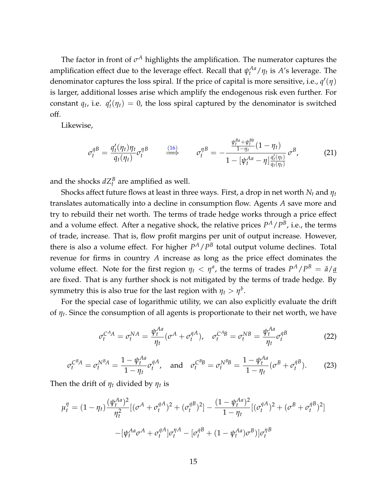The factor in front of  $\sigma^A$  highlights the amplification. The numerator captures the amplification effect due to the leverage effect. Recall that  $\psi_t^{Aa}/\eta_t$  is A's leverage. The denominator captures the loss spiral. If the price of capital is more sensitive, i.e.,  $q'(\eta)$ is larger, additional losses arise which amplify the endogenous risk even further. For constant  $q_t$ , i.e.  $q'_t$  $t'_{t}(\eta_t) = 0$ , the loss spiral captured by the denominator is switched off.

Likewise,

<span id="page-15-0"></span>
$$
\sigma_t^{qB} = \frac{q_t'(\eta_t)\eta_t}{q_t(\eta_t)}\sigma_t^{\eta B} \qquad \stackrel{(16)}{\Longrightarrow} \qquad \sigma_t^{\eta B} = -\frac{\frac{\psi_t^{Ba} + \psi_t^{Bb}}{1 - \eta_t}(1 - \eta_t)}{1 - [\psi_t^{Aa} - \eta] \frac{q_t'(\eta_t)}{q_t(\eta_t)}} \sigma^B,
$$
(21)

and the shocks  $dZ_t^B$  are amplified as well.

Shocks affect future flows at least in three ways. First, a drop in net worth *N<sup>t</sup>* and *η<sup>t</sup>* translates automatically into a decline in consumption flow. Agents *A* save more and try to rebuild their net worth. The terms of trade hedge works through a price effect and a volume effect. After a negative shock, the relative prices  $P^A/P^B$ , i.e., the terms of trade, increase. That is, flow profit margins per unit of output increase. However, there is also a volume effect. For higher  $P^A/P^B$  total output volume declines. Total revenue for firms in country *A* increase as long as the price effect dominates the volume effect. Note for the first region  $\eta_t < \eta^a$ , the terms of trades  $P^A/P^B = \bar{a}/\underline{a}$ are fixed. That is any further shock is not mitigated by the terms of trade hedge. By symmetry this is also true for the last region with  $\eta_t > \eta^b$ .

For the special case of logarithmic utility, we can also explicitly evaluate the drift of *η<sup>t</sup>* . Since the consumption of all agents is proportionate to their net worth, we have

$$
\sigma_t^{C^A A} = \sigma_t^{NA} = \frac{\psi_t^{Aa}}{\eta_t} (\sigma^A + \sigma_t^{qA}), \quad \sigma_t^{C^A B} = \sigma_t^{NB} = \frac{\psi_t^{Aa}}{\eta_t} \sigma_t^{qB}
$$
(22)

$$
\sigma_t^{C^B A} = \sigma_t^{N^B A} = \frac{1 - \psi_t^{Aa}}{1 - \eta_t} \sigma_t^{qA}, \text{ and } \sigma_t^{C^B B} = \sigma_t^{N^B B} = \frac{1 - \psi_t^{Aa}}{1 - \eta_t} (\sigma^B + \sigma_t^{qB}).
$$
 (23)

Then the drift of *η<sup>t</sup>* divided by *η<sup>t</sup>* is

$$
\mu_t^{\eta} = (1 - \eta_t) \frac{(\psi_t^{Aa})^2}{\eta_t^2} [(\sigma^A + \sigma_t^{qA})^2 + (\sigma_t^{qB})^2] - \frac{(1 - \psi_t^{Aa})^2}{1 - \eta_t} [(\sigma_t^{qA})^2 + (\sigma^B + \sigma_t^{qB})^2] - [\psi_t^{Aa} \sigma^A + \sigma_t^{qA}] \sigma_t^{\eta A} - [\sigma_t^{qB} + (1 - \psi_t^{Aa}) \sigma^B)] \sigma_t^{\eta B}
$$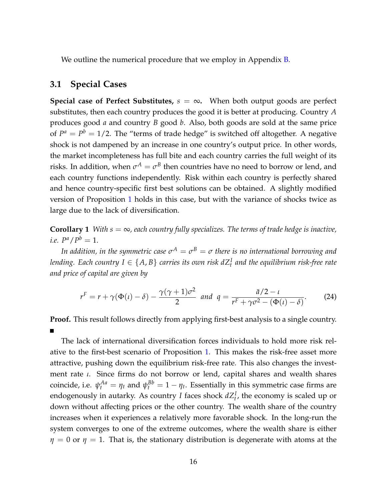We outline the numerical procedure that we employ in Appendix  $B$ .

### **3.1 Special Cases**

**Special case of Perfect Substitutes,**  $s = \infty$ . When both output goods are perfect substitutes, then each country produces the good it is better at producing. Country *A* produces good *a* and country *B* good *b*. Also, both goods are sold at the same price of  $P^a = P^b = 1/2$ . The "terms of trade hedge" is switched off altogether. A negative shock is not dampened by an increase in one country's output price. In other words, the market incompleteness has full bite and each country carries the full weight of its risks. In addition, when  $\sigma^A = \sigma^B$  then countries have no need to borrow or lend, and each country functions independently. Risk within each country is perfectly shared and hence country-specific first best solutions can be obtained. A slightly modified version of Proposition [1](#page-12-1) holds in this case, but with the variance of shocks twice as large due to the lack of diversification.

<span id="page-16-0"></span>**Corollary 1** *With s*  $= \infty$ *, each country fully specializes. The terms of trade hedge is inactive, i.e.*  $P^a / P^b = 1$ .

*In addition, in the symmetric case*  $\sigma^A = \sigma^B = \sigma$  *there is no international borrowing and* lending. Each country  $I \in \{A,B\}$  carries its own risk  $dZ^I_t$  and the equilibrium risk-free rate *and price of capital are given by*

$$
r^{F} = r + \gamma(\Phi(\iota) - \delta) - \frac{\gamma(\gamma + 1)\sigma^{2}}{2} \quad \text{and} \quad q = \frac{\bar{a}/2 - \iota}{r^{F} + \gamma\sigma^{2} - (\Phi(\iota) - \delta)}.
$$
 (24)

**Proof.** This result follows directly from applying first-best analysis to a single country.

The lack of international diversification forces individuals to hold more risk relative to the first-best scenario of Proposition [1.](#page-12-1) This makes the risk-free asset more attractive, pushing down the equilibrium risk-free rate. This also changes the investment rate *ι*. Since firms do not borrow or lend, capital shares and wealth shares coincide, i.e.  $\psi_t^{Aa} = \eta_t$  and  $\psi_t^{Bb} = 1 - \eta_t$ . Essentially in this symmetric case firms are endogenously in autarky. As country *I* faces shock  $dZ_t^I$ , the economy is scaled up or down without affecting prices or the other country. The wealth share of the country increases when it experiences a relatively more favorable shock. In the long-run the system converges to one of the extreme outcomes, where the wealth share is either  $\eta = 0$  or  $\eta = 1$ . That is, the stationary distribution is degenerate with atoms at the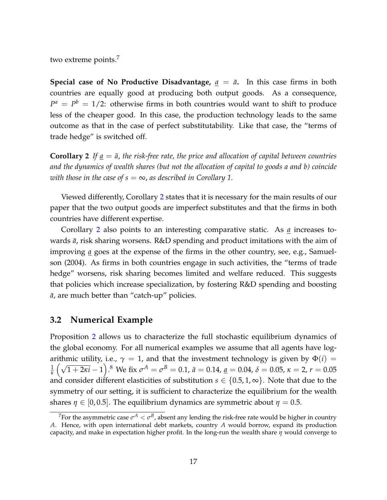two extreme points.<sup>[7](#page-17-0)</sup>

**Special case of No Productive Disadvantage,**  $a = \bar{a}$ . In this case firms in both countries are equally good at producing both output goods. As a consequence,  $P^a = P^b = 1/2$ : otherwise firms in both countries would want to shift to produce less of the cheaper good. In this case, the production technology leads to the same outcome as that in the case of perfect substitutability. Like that case, the "terms of trade hedge" is switched off.

<span id="page-17-1"></span>**Corollary 2** If  $a = \bar{a}$ , the risk-free rate, the price and allocation of capital between countries *and the dynamics of wealth shares (but not the allocation of capital to goods a and b) coincide with those in the case of s*  $= \infty$ , *as described in Corollary [1.](#page-16-0)* 

Viewed differently, Corollary [2](#page-17-1) states that it is necessary for the main results of our paper that the two output goods are imperfect substitutes and that the firms in both countries have different expertise.

Corollary [2](#page-17-1) also points to an interesting comparative static. As *a* increases towards  $\bar{a}$ , risk sharing worsens. R&D spending and product imitations with the aim of improving *a* goes at the expense of the firms in the other country, see, e.g., [Samuel](#page-38-1)[son](#page-38-1) [\(2004\)](#page-38-1). As firms in both countries engage in such activities, the "terms of trade hedge" worsens, risk sharing becomes limited and welfare reduced. This suggests that policies which increase specialization, by fostering R&D spending and boosting  $\bar{a}$ , are much better than "catch-up" policies.

### **3.2 Numerical Example**

Proposition [2](#page-13-0) allows us to characterize the full stochastic equilibrium dynamics of the global economy. For all numerical examples we assume that all agents have logarithmic utility, i.e.,  $\gamma = 1$ , and that the investment technology is given by  $\Phi(i) =$ 1 *κ*  $(\sqrt{1+2\kappa i}-1)$ .<sup>[8](#page-18-0)</sup> We fix  $σ^A = σ^B = 0.1$ ,  $ā = 0.14$ , <u>a</u> = 0.04,  $δ = 0.05$ ,  $κ = 2$ ,  $r = 0.05$ and consider different elasticities of substitution  $s \in \{0.5, 1, \infty\}$ . Note that due to the symmetry of our setting, it is sufficient to characterize the equilibrium for the wealth shares  $\eta \in [0, 0.5]$ . The equilibrium dynamics are symmetric about  $\eta = 0.5$ .

<span id="page-17-0"></span> $^7$ For the asymmetric case  $\sigma^A<\sigma^B$ , absent any lending the risk-free rate would be higher in country *A*. Hence, with open international debt markets, country *A* would borrow, expand its production capacity, and make in expectation higher profit. In the long-run the wealth share *η* would converge to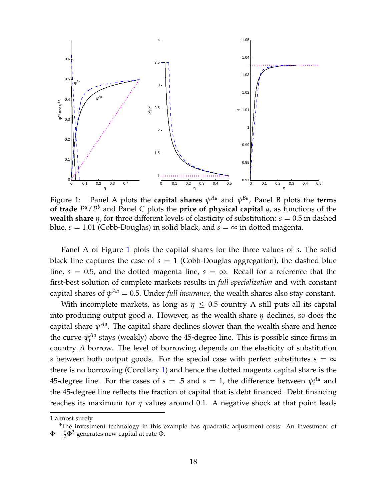

<span id="page-18-1"></span>Figure 1: Panel A plots the **capital shares**  $\psi^{Aa}$  and  $\psi^{Ba}$ , Panel B plots the **terms of trade**  $P^a / P^b$  and Panel C plots the **price of physical capital** *q*, as functions of the **wealth share**  $\eta$ , for three different levels of elasticity of substitution:  $s = 0.5$  in dashed blue,  $s = 1.01$  (Cobb-Douglas) in solid black, and  $s = \infty$  in dotted magenta.

Panel A of Figure [1](#page-18-1) plots the capital shares for the three values of *s*. The solid black line captures the case of  $s = 1$  (Cobb-Douglas aggregation), the dashed blue line,  $s = 0.5$ , and the dotted magenta line,  $s = \infty$ . Recall for a reference that the first-best solution of complete markets results in *full specialization* and with constant  $\epsilon$ capital shares of  $\psi^{Aa}=$  0.5. Under *full insurance,* the wealth shares also stay constant.

With incomplete markets, as long as  $\eta \leq 0.5$  country A still puts all its capital into producing output good *a*. However, as the wealth share *η* declines, so does the capital share *ψ Aa*. The capital share declines slower than the wealth share and hence the curve  $\psi_t^{Aa}$  stays (weakly) above the 45-degree line. This is possible since firms in country *A* borrow. The level of borrowing depends on the elasticity of substitution *s* between both output goods. For the special case with perfect substitutes  $s = \infty$ there is no borrowing (Corollary [1\)](#page-16-0) and hence the dotted magenta capital share is the 45-degree line. For the cases of  $s = .5$  and  $s = 1$ , the difference between  $\psi_t^{Aa}$  and the 45-degree line reflects the fraction of capital that is debt financed. Debt financing reaches its maximum for *η* values around 0.1. A negative shock at that point leads

<sup>1</sup> almost surely.

<span id="page-18-0"></span> $8$ The investment technology in this example has quadratic adjustment costs: An investment of  $\Phi + \frac{\kappa}{2} \Phi^2$  generates new capital at rate Φ.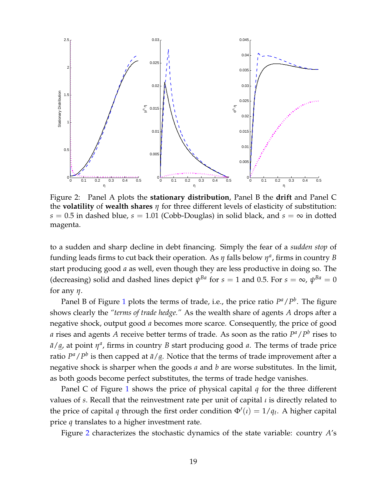

<span id="page-19-0"></span>Figure 2: Panel A plots the **stationary distribution**, Panel B the **drift** and Panel C the **volatility** of **wealth shares** *η* for three different levels of elasticity of substitution:  $s = 0.5$  in dashed blue,  $s = 1.01$  (Cobb-Douglas) in solid black, and  $s = \infty$  in dotted magenta.

to a sudden and sharp decline in debt financing. Simply the fear of a *sudden stop* of funding leads firms to cut back their operation. As  $\eta$  falls below  $\eta^a$ , firms in country *B* start producing good *a* as well, even though they are less productive in doing so. The (decreasing) solid and dashed lines depict  $\psi^{Ba}$  for  $s=1$  and 0.5. For  $s=\infty$ ,  $\psi^{Ba}=0$ for any *η*.

Panel B of Figure [1](#page-18-1) plots the terms of trade, i.e., the price ratio  $P^a/P^b$ . The figure shows clearly the *"terms of trade hedge."* As the wealth share of agents *A* drops after a negative shock, output good *a* becomes more scarce. Consequently, the price of good *a* rises and agents *A* receive better terms of trade. As soon as the ratio  $P^a / P^b$  rises to  $\bar{a}/\underline{a}$ , at point  $\eta^a$ , firms in country *B* start producing good *a*. The terms of trade price ratio  $P^a / P^b$  is then capped at  $\bar{a}/\underline{a}$ . Notice that the terms of trade improvement after a negative shock is sharper when the goods *a* and *b* are worse substitutes. In the limit, as both goods become perfect substitutes, the terms of trade hedge vanishes.

Panel C of Figure [1](#page-18-1) shows the price of physical capital *q* for the three different values of *s*. Recall that the reinvestment rate per unit of capital *ι* is directly related to the price of capital *q* through the first order condition  $\Phi'(\iota) = 1/q_t$ . A higher capital price *q* translates to a higher investment rate.

Figure [2](#page-19-0) characterizes the stochastic dynamics of the state variable: country *A*'s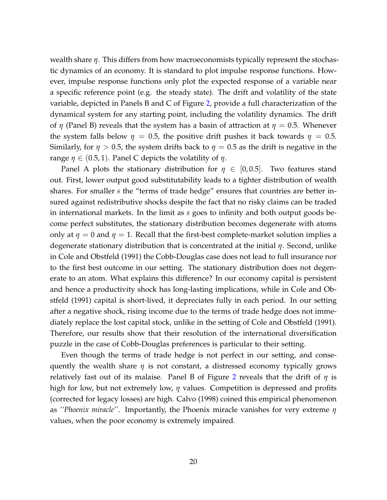wealth share *η*. This differs from how macroeconomists typically represent the stochastic dynamics of an economy. It is standard to plot impulse response functions. However, impulse response functions only plot the expected response of a variable near a specific reference point (e.g. the steady state). The drift and volatility of the state variable, depicted in Panels B and C of Figure [2,](#page-19-0) provide a full characterization of the dynamical system for any starting point, including the volatility dynamics. The drift of *η* (Panel B) reveals that the system has a basin of attraction at  $η = 0.5$ . Whenever the system falls below  $\eta = 0.5$ , the positive drift pushes it back towards  $\eta = 0.5$ . Similarly, for  $\eta > 0.5$ , the system drifts back to  $\eta = 0.5$  as the drift is negative in the range  $\eta \in (0.5, 1)$ . Panel C depicts the volatility of  $\eta$ .

Panel A plots the stationary distribution for  $\eta \in [0, 0.5]$ . Two features stand out. First, lower output good substitutability leads to a tighter distribution of wealth shares. For smaller *s* the "terms of trade hedge" ensures that countries are better insured against redistributive shocks despite the fact that no risky claims can be traded in international markets. In the limit as *s* goes to infinity and both output goods become perfect substitutes, the stationary distribution becomes degenerate with atoms only at  $\eta = 0$  and  $\eta = 1$ . Recall that the first-best complete-market solution implies a degenerate stationary distribution that is concentrated at the initial *η*. Second, unlike in [Cole and Obstfeld](#page-35-7) [\(1991\)](#page-35-7) the Cobb-Douglas case does not lead to full insurance nor to the first best outcome in our setting. The stationary distribution does not degenerate to an atom. What explains this difference? In our economy capital is persistent and hence a productivity shock has long-lasting implications, while in [Cole and Ob](#page-35-7)[stfeld](#page-35-7) [\(1991\)](#page-35-7) capital is short-lived, it depreciates fully in each period. In our setting after a negative shock, rising income due to the terms of trade hedge does not immediately replace the lost capital stock, unlike in the setting of [Cole and Obstfeld](#page-35-7) [\(1991\)](#page-35-7). Therefore, our results show that their resolution of the international diversification puzzle in the case of Cobb-Douglas preferences is particular to their setting.

Even though the terms of trade hedge is not perfect in our setting, and consequently the wealth share *η* is not constant, a distressed economy typically grows relatively fast out of its malaise. Panel B of Figure [2](#page-19-0) reveals that the drift of *η* is high for low, but not extremely low, *η* values. Competition is depressed and profits (corrected for legacy losses) are high. [Calvo](#page-35-8) [\(1998\)](#page-35-8) coined this empirical phenomenon as *''Phoenix miracle''*. Importantly, the Phoenix miracle vanishes for very extreme *η* values, when the poor economy is extremely impaired.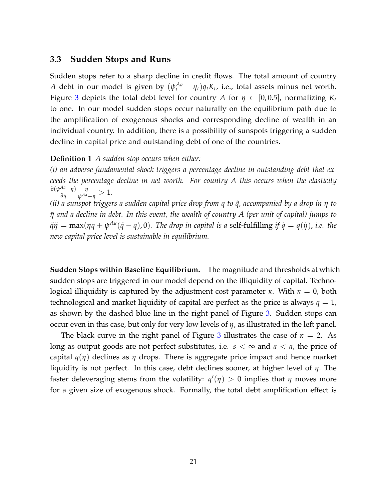### **3.3 Sudden Stops and Runs**

Sudden stops refer to a sharp decline in credit flows. The total amount of country *A* debt in our model is given by  $(\psi_t^{Aa} - \eta_t)q_tK_t$ , i.e., total assets minus net worth. Figure [3](#page-22-0) depicts the total debt level for country A for  $\eta \in [0, 0.5]$ , normalizing  $K_t$ to one. In our model sudden stops occur naturally on the equilibrium path due to the amplification of exogenous shocks and corresponding decline of wealth in an individual country. In addition, there is a possibility of sunspots triggering a sudden decline in capital price and outstanding debt of one of the countries.

#### **Definition 1** *A sudden stop occurs when either:*

*(i) an adverse fundamental shock triggers a percentage decline in outstanding debt that exceeds the percentage decline in net worth. For country A this occurs when the elasticity ∂*(*ψ Aa*−*η*) *∂η η*  $\frac{\eta}{\psi^{Aa}-\eta}>1.$ 

*(ii) a sunspot triggers a sudden capital price drop from q to*  $\hat{q}$ *, accompanied by a drop in η to η*˜ *and a decline in debt. In this event, the wealth of country A (per unit of capital) jumps to*  $q\tilde{q}$  $q̄ = max(\eta q + \psi^{Aa}(\tilde{q} - q)$ , 0). The drop in capital is a self-fulfilling if  $\tilde{q} = q(\tilde{\eta})$ , i.e. the *new capital price level is sustainable in equilibrium.*

**Sudden Stops within Baseline Equilibrium.** The magnitude and thresholds at which sudden stops are triggered in our model depend on the illiquidity of capital. Technological illiquidity is captured by the adjustment cost parameter *κ*. With  $\kappa = 0$ , both technological and market liquidity of capital are perfect as the price is always  $q = 1$ , as shown by the dashed blue line in the right panel of Figure [3.](#page-22-0) Sudden stops can occur even in this case, but only for very low levels of *η*, as illustrated in the left panel.

The black curve in the right panel of Figure [3](#page-22-0) illustrates the case of  $\kappa = 2$ . As long as output goods are not perfect substitutes, i.e.  $s < \infty$  and  $\underline{a} < a$ , the price of capital *q*(*η*) declines as *η* drops. There is aggregate price impact and hence market liquidity is not perfect. In this case, debt declines sooner, at higher level of *η*. The faster deleveraging stems from the volatility:  $q'(\eta) > 0$  implies that  $\eta$  moves more for a given size of exogenous shock. Formally, the total debt amplification effect is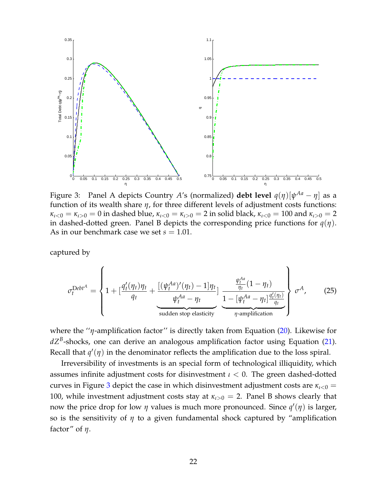

<span id="page-22-0"></span>Figure 3: Panel A depicts Country *A*'s (normalized) **debt level** *q*(*η*)[*ψ Aa* − *η*] as a function of its wealth share *η*, for three different levels of adjustment costs functions:  $\kappa_{l<0} = \kappa_{l>0} = 0$  in dashed blue,  $\kappa_{l<0} = \kappa_{l>0} = 2$  in solid black,  $\kappa_{l<0} = 100$  and  $\kappa_{l>0} = 2$ in dashed-dotted green. Panel B depicts the corresponding price functions for *q*(*η*). As in our benchmark case we set  $s = 1.01$ .

captured by

$$
\sigma_t^{\text{Debt}^A} = \left\{ 1 + \left[ \frac{q_t'(\eta_t)\eta_t}{q_t} + \frac{\left[ (\psi_t^{Aa})'(\eta_t) - 1 \right]\eta_t}{\psi_t^{Aa} - \eta_t} \right] \underbrace{\frac{\psi_t^{Aa}}{\eta_t}(1 - \eta_t)}_{\text{sudden stop elasticity}} \right\} \sigma^A, \tag{25}
$$

where the ''*η*-amplification factor'' is directly taken from Equation [\(20\)](#page-14-2). Likewise for *dZ<sup>B</sup>* -shocks, one can derive an analogous amplification factor using Equation [\(21\)](#page-15-0). Recall that  $q'(\eta)$  in the denominator reflects the amplification due to the loss spiral.

Irreversibility of investments is an special form of technological illiquidity, which assumes infinite adjustment costs for disinvestment *ι* < 0. The green dashed-dotted curves in Figure [3](#page-22-0) depict the case in which disinvestment adjustment costs are  $\kappa_{l<0}$  = 100, while investment adjustment costs stay at  $\kappa_{i>0} = 2$ . Panel B shows clearly that now the price drop for low *η* values is much more pronounced. Since  $q'(\eta)$  is larger, so is the sensitivity of *η* to a given fundamental shock captured by "amplification factor" of *η*.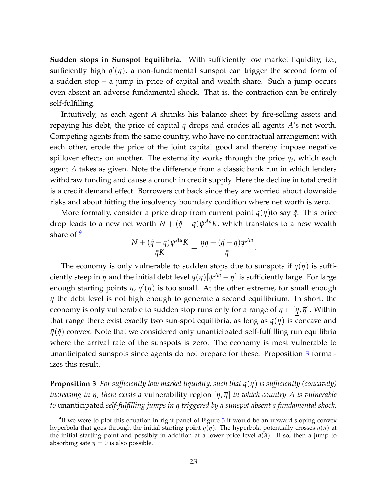**Sudden stops in Sunspot Equilibria.** With sufficiently low market liquidity, i.e., sufficiently high  $q'(\eta)$ , a non-fundamental sunspot can trigger the second form of a sudden stop – a jump in price of capital and wealth share. Such a jump occurs even absent an adverse fundamental shock. That is, the contraction can be entirely self-fulfilling.

Intuitively, as each agent *A* shrinks his balance sheet by fire-selling assets and repaying his debt, the price of capital *q* drops and erodes all agents *A*'s net worth. Competing agents from the same country, who have no contractual arrangement with each other, erode the price of the joint capital good and thereby impose negative spillover effects on another. The externality works through the price *q<sup>t</sup>* , which each agent *A* takes as given. Note the difference from a classic bank run in which lenders withdraw funding and cause a crunch in credit supply. Here the decline in total credit is a credit demand effect. Borrowers cut back since they are worried about downside risks and about hitting the insolvency boundary condition where net worth is zero.

More formally, consider a price drop from current point  $q(\eta)$ to say  $\tilde{q}$ . This price drop leads to a new net worth  $N+(\tilde{q}-q)\psi^{Aa}K$ , which translates to a new wealth share of  $9$ 

$$
\frac{N + (\tilde{q} - q)\psi^{Aa} K}{\tilde{q}K} = \frac{\eta q + (\tilde{q} - q)\psi^{Aa}}{\tilde{q}}.
$$

The economy is only vulnerable to sudden stops due to sunspots if  $q(\eta)$  is sufficiently steep in  $\eta$  and the initial debt level  $q(\eta)[\psi^{Aa}-\eta]$  is sufficiently large. For large enough starting points  $\eta$ ,  $q'(\eta)$  is too small. At the other extreme, for small enough *η* the debt level is not high enough to generate a second equilibrium. In short, the economy is only vulnerable to sudden stop runs only for a range of  $\eta \in [\eta, \overline{\eta}]$ . Within that range there exist exactly two sun-spot equilibria, as long as *q*(*η*) is concave and  $η(q̄)$  convex. Note that we considered only unanticipated self-fulfilling run equilibria where the arrival rate of the sunspots is zero. The economy is most vulnerable to unanticipated sunspots since agents do not prepare for these. Proposition [3](#page-23-1) formalizes this result.

<span id="page-23-1"></span>**Proposition 3** *For sufficiently low market liquidity, such that q*(*η*) *is sufficiently (concavely) increasing in η, there exists a* vulnerability region [*η*, *η*] *in which country A is vulnerable to* unanticipated *self-fulfilling jumps in q triggered by a sunspot absent a fundamental shock.*

<span id="page-23-0"></span> $9$ If we were to plot this equation in right panel of Figure [3](#page-22-0) it would be an upward sloping convex hyperbola that goes through the initial starting point  $q(\eta)$ . The hyperbola potentially crosses  $q(\eta)$  at the initial starting point and possibly in addition at a lower price level  $q(\tilde{\eta})$ . If so, then a jump to absorbing sate  $\eta = 0$  is also possible.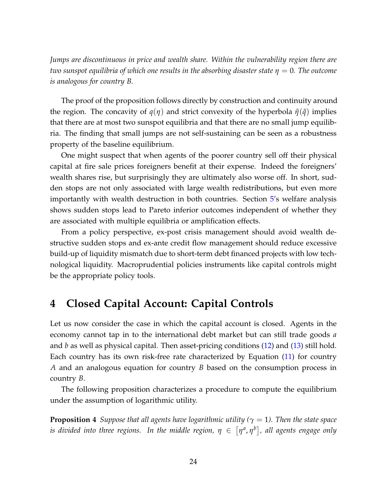*Jumps are discontinuous in price and wealth share. Within the vulnerability region there are two sunspot equilibria of which one results in the absorbing disaster state η* = 0*. The outcome is analogous for country B.*

The proof of the proposition follows directly by construction and continuity around the region. The concavity of  $q(\eta)$  and strict convexity of the hyperbola  $\tilde{\eta}(\tilde{q})$  implies that there are at most two sunspot equilibria and that there are no small jump equilibria. The finding that small jumps are not self-sustaining can be seen as a robustness property of the baseline equilibrium.

One might suspect that when agents of the poorer country sell off their physical capital at fire sale prices foreigners benefit at their expense. Indeed the foreigners' wealth shares rise, but surprisingly they are ultimately also worse off. In short, sudden stops are not only associated with large wealth redistributions, but even more importantly with wealth destruction in both countries. Section [5'](#page-27-0)s welfare analysis shows sudden stops lead to Pareto inferior outcomes independent of whether they are associated with multiple equilibria or amplification effects.

From a policy perspective, ex-post crisis management should avoid wealth destructive sudden stops and ex-ante credit flow management should reduce excessive build-up of liquidity mismatch due to short-term debt financed projects with low technological liquidity. Macroprudential policies instruments like capital controls might be the appropriate policy tools.

# **4 Closed Capital Account: Capital Controls**

Let us now consider the case in which the capital account is closed. Agents in the economy cannot tap in to the international debt market but can still trade goods *a* and *b* as well as physical capital. Then asset-pricing conditions [\(12\)](#page-11-0) and [\(13\)](#page-11-1) still hold. Each country has its own risk-free rate characterized by Equation [\(11\)](#page-11-2) for country *A* and an analogous equation for country *B* based on the consumption process in country *B*.

The following proposition characterizes a procedure to compute the equilibrium under the assumption of logarithmic utility.

<span id="page-24-0"></span>**Proposition 4** *Suppose that all agents have logarithmic utility* ( $\gamma = 1$ ). Then the state space  $i$ s divided into three regions. In the middle region,  $\eta~\in~\left[\eta^{a},\eta^{b}\right]$ , all agents engage only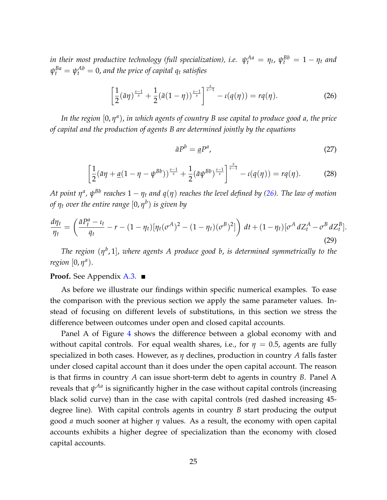$i$ *n their most productive technology (full specialization), i.e.*  $\psi^{Aa}_t = \eta_t$ *,*  $\psi^{Bb}_t = 1 - \eta_t$  *and*  $\psi^{Ba}_t = \psi^{Ab}_t = 0$ , and the price of capital  $q_t$  satisfies

<span id="page-25-0"></span>
$$
\left[\frac{1}{2}(\bar{a}\eta)^{\frac{s-1}{s}}+\frac{1}{2}(\bar{a}(1-\eta))^{\frac{s-1}{s}}\right]^{\frac{s}{s-1}}-\iota(q(\eta))=rq(\eta).
$$
 (26)

*In the region* [0, *η a* ), *in which agents of country B use capital to produce good a, the price of capital and the production of agents B are determined jointly by the equations*

$$
\bar{a}P^b = \underline{a}P^a,\tag{27}
$$

$$
\left[\frac{1}{2}(\bar{a}\eta + \underline{a}(1-\eta - \psi^{Bb}))^{\frac{s-1}{s}} + \frac{1}{2}(\bar{a}\psi^{Bb})^{\frac{s-1}{s}}\right]^{\frac{s}{s-1}} - \iota(q(\eta)) = rq(\eta). \tag{28}
$$

 $A$ t point  $\eta^a$ ,  $\psi^{Bb}$  reaches  $1-\eta_t$  and  $q(\eta)$  reaches the level defined by [\(26\)](#page-25-0). The law of motion *of η<sup>t</sup> over the entire range* [0, *η b* ) *is given by*

<span id="page-25-1"></span>
$$
\frac{d\eta_t}{\eta_t} = \left(\frac{\bar{a}P_t^a - \iota_t}{q_t} - r - (1 - \eta_t)[\eta_t(\sigma^A)^2 - (1 - \eta_t)(\sigma^B)^2]\right) dt + (1 - \eta_t)[\sigma^A dZ_t^A - \sigma^B dZ_t^B].
$$
\n(29)

*The region* (*η b* , 1], *where agents A produce good b*, *is determined symmetrically to the region* [0, *η<sup>a</sup>*).

#### **Proof.** See Appendix [A.3.](#page-45-0) ■

As before we illustrate our findings within specific numerical examples. To ease the comparison with the previous section we apply the same parameter values. Instead of focusing on different levels of substitutions, in this section we stress the difference between outcomes under open and closed capital accounts.

Panel A of Figure [4](#page-26-0) shows the difference between a global economy with and without capital controls. For equal wealth shares, i.e., for  $\eta = 0.5$ , agents are fully specialized in both cases. However, as *η* declines, production in country *A* falls faster under closed capital account than it does under the open capital account. The reason is that firms in country *A* can issue short-term debt to agents in country *B*. Panel A reveals that *ψ Aa* is significantly higher in the case without capital controls (increasing black solid curve) than in the case with capital controls (red dashed increasing 45 degree line). With capital controls agents in country *B* start producing the output good *a* much sooner at higher *η* values. As a result, the economy with open capital accounts exhibits a higher degree of specialization than the economy with closed capital accounts.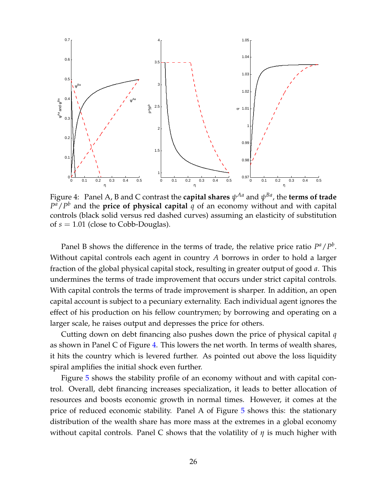

<span id="page-26-0"></span>Figure 4: Panel A, B and C contrast the **capital shares**  $\psi^{Aa}$  and  $\psi^{Ba}$ , the **terms of trade**  $P^a/P^b$  and the **price of physical capital**  $q$  of an economy without and with capital controls (black solid versus red dashed curves) assuming an elasticity of substitution of *s* = 1.01 (close to Cobb-Douglas).

Panel B shows the difference in the terms of trade, the relative price ratio  $P^a / P^b$ . Without capital controls each agent in country *A* borrows in order to hold a larger fraction of the global physical capital stock, resulting in greater output of good *a*. This undermines the terms of trade improvement that occurs under strict capital controls. With capital controls the terms of trade improvement is sharper. In addition, an open capital account is subject to a pecuniary externality. Each individual agent ignores the effect of his production on his fellow countrymen; by borrowing and operating on a larger scale, he raises output and depresses the price for others.

Cutting down on debt financing also pushes down the price of physical capital *q* as shown in Panel C of Figure [4.](#page-26-0) This lowers the net worth. In terms of wealth shares, it hits the country which is levered further. As pointed out above the loss liquidity spiral amplifies the initial shock even further.

Figure [5](#page-27-1) shows the stability profile of an economy without and with capital control. Overall, debt financing increases specialization, it leads to better allocation of resources and boosts economic growth in normal times. However, it comes at the price of reduced economic stability. Panel A of Figure [5](#page-27-1) shows this: the stationary distribution of the wealth share has more mass at the extremes in a global economy without capital controls. Panel C shows that the volatility of *η* is much higher with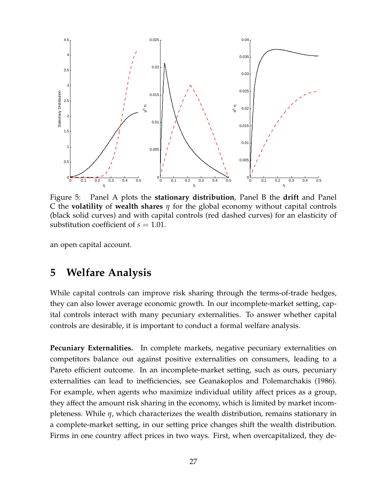

<span id="page-27-1"></span>Figure 5: Panel A plots the **stationary distribution**, Panel B the **drift** and Panel C the **volatility** of **wealth shares** *η* for the global economy without capital controls (black solid curves) and with capital controls (red dashed curves) for an elasticity of substitution coefficient of  $s = 1.01$ .

an open capital account.

# <span id="page-27-0"></span>**5 Welfare Analysis**

While capital controls can improve risk sharing through the terms-of-trade hedges, they can also lower average economic growth. In our incomplete-market setting, capital controls interact with many pecuniary externalities. To answer whether capital controls are desirable, it is important to conduct a formal welfare analysis.

**Pecuniary Externalities.** In complete markets, negative pecuniary externalities on competitors balance out against positive externalities on consumers, leading to a Pareto efficient outcome. In an incomplete-market setting, such as ours, pecuniary externalities can lead to inefficiencies, see [Geanakoplos and Polemarchakis](#page-36-2) [\(1986\)](#page-36-2). For example, when agents who maximize individual utility affect prices as a group, they affect the amount risk sharing in the economy, which is limited by market incompleteness. While *η*, which characterizes the wealth distribution, remains stationary in a complete-market setting, in our setting price changes shift the wealth distribution. Firms in one country affect prices in two ways. First, when overcapitalized, they de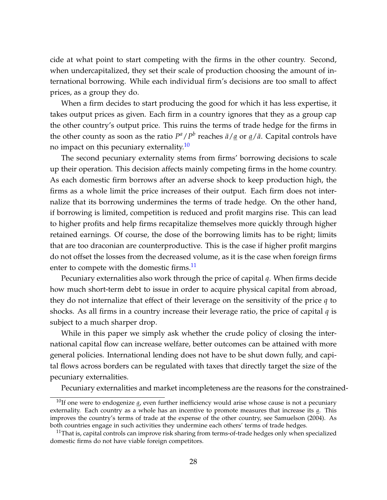cide at what point to start competing with the firms in the other country. Second, when undercapitalized, they set their scale of production choosing the amount of international borrowing. While each individual firm's decisions are too small to affect prices, as a group they do.

When a firm decides to start producing the good for which it has less expertise, it takes output prices as given. Each firm in a country ignores that they as a group cap the other country's output price. This ruins the terms of trade hedge for the firms in the other county as soon as the ratio  $P^a/P^b$  reaches  $\bar{a}/\underline{a}$  or  $\underline{a}/\bar{a}$ . Capital controls have no impact on this pecuniary externality.<sup>[10](#page-28-0)</sup>

The second pecuniary externality stems from firms' borrowing decisions to scale up their operation. This decision affects mainly competing firms in the home country. As each domestic firm borrows after an adverse shock to keep production high, the firms as a whole limit the price increases of their output. Each firm does not internalize that its borrowing undermines the terms of trade hedge. On the other hand, if borrowing is limited, competition is reduced and profit margins rise. This can lead to higher profits and help firms recapitalize themselves more quickly through higher retained earnings. Of course, the dose of the borrowing limits has to be right; limits that are too draconian are counterproductive. This is the case if higher profit margins do not offset the losses from the decreased volume, as it is the case when foreign firms enter to compete with the domestic firms.<sup>[11](#page-28-1)</sup>

Pecuniary externalities also work through the price of capital *q*. When firms decide how much short-term debt to issue in order to acquire physical capital from abroad, they do not internalize that effect of their leverage on the sensitivity of the price *q* to shocks. As all firms in a country increase their leverage ratio, the price of capital *q* is subject to a much sharper drop.

While in this paper we simply ask whether the crude policy of closing the international capital flow can increase welfare, better outcomes can be attained with more general policies. International lending does not have to be shut down fully, and capital flows across borders can be regulated with taxes that directly target the size of the pecuniary externalities.

Pecuniary externalities and market incompleteness are the reasons for the constrained-

<span id="page-28-0"></span><sup>&</sup>lt;sup>10</sup>If one were to endogenize *a*, even further inefficiency would arise whose cause is not a pecuniary externality. Each country as a whole has an incentive to promote measures that increase its *a*. This improves the country's terms of trade at the expense of the other country, see [Samuelson](#page-38-1) [\(2004\)](#page-38-1). As both countries engage in such activities they undermine each others' terms of trade hedges.

<span id="page-28-1"></span> $11$ That is, capital controls can improve risk sharing from terms-of-trade hedges only when specialized domestic firms do not have viable foreign competitors.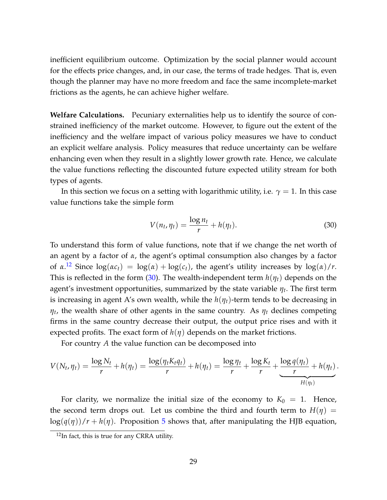inefficient equilibrium outcome. Optimization by the social planner would account for the effects price changes, and, in our case, the terms of trade hedges. That is, even though the planner may have no more freedom and face the same incomplete-market frictions as the agents, he can achieve higher welfare.

**Welfare Calculations.** Pecuniary externalities help us to identify the source of constrained inefficiency of the market outcome. However, to figure out the extent of the inefficiency and the welfare impact of various policy measures we have to conduct an explicit welfare analysis. Policy measures that reduce uncertainty can be welfare enhancing even when they result in a slightly lower growth rate. Hence, we calculate the value functions reflecting the discounted future expected utility stream for both types of agents.

In this section we focus on a setting with logarithmic utility, i.e.  $\gamma = 1$ . In this case value functions take the simple form

<span id="page-29-1"></span>
$$
V(n_t, \eta_t) = \frac{\log n_t}{r} + h(\eta_t). \tag{30}
$$

To understand this form of value functions, note that if we change the net worth of an agent by a factor of *α*, the agent's optimal consumption also changes by a factor of  $\alpha$ .<sup>[12](#page-29-0)</sup> Since  $\log(\alpha c_t) = \log(\alpha) + \log(c_t)$ , the agent's utility increases by  $\log(\alpha)/r$ . This is reflected in the form [\(30\)](#page-29-1). The wealth-independent term *h*(*ηt*) depends on the agent's investment opportunities, summarized by the state variable *η<sup>t</sup>* . The first term is increasing in agent A's own wealth, while the  $h(\eta_t)$ -term tends to be decreasing in *ηt* , the wealth share of other agents in the same country. As *η<sup>t</sup>* declines competing firms in the same country decrease their output, the output price rises and with it expected profits. The exact form of  $h(\eta)$  depends on the market frictions.

For country *A* the value function can be decomposed into

$$
V(N_t, \eta_t) = \frac{\log N_t}{r} + h(\eta_t) = \frac{\log(\eta_t K_t \eta_t)}{r} + h(\eta_t) = \frac{\log \eta_t}{r} + \frac{\log K_t}{r} + \frac{\log q(\eta_t)}{r} + h(\eta_t).
$$

For clarity, we normalize the initial size of the economy to  $K_0 = 1$ . Hence, the second term drops out. Let us combine the third and fourth term to  $H(\eta)$  =  $\log(q(\eta))/r + h(\eta)$ . Proposition [5](#page-30-0) shows that, after manipulating the HJB equation,

<span id="page-29-0"></span><sup>&</sup>lt;sup>12</sup>In fact, this is true for any CRRA utility.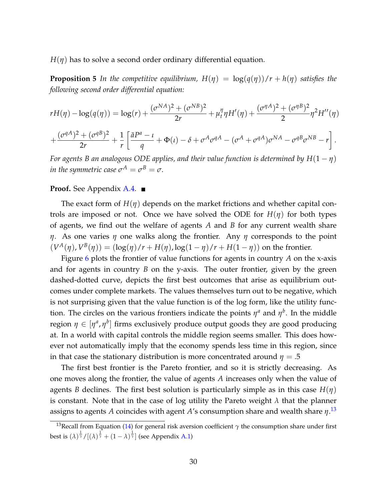<span id="page-30-0"></span>*H*(*η*) has to solve a second order ordinary differential equation.

**Proposition 5** In the competitive equilibrium,  $H(\eta) = \log(q(\eta))/r + h(\eta)$  satisfies the *following second order differential equation:*

$$
rH(\eta) - \log(q(\eta)) = \log(r) + \frac{(\sigma^{NA})^2 + (\sigma^{NB})^2}{2r} + \mu_t^{\eta} \eta H'(\eta) + \frac{(\sigma^{\eta A})^2 + (\sigma^{\eta B})^2}{2} \eta^2 H''(\eta)
$$

$$
+\frac{(\sigma^{qA})^2+(\sigma^{qB})^2}{2r}+\frac{1}{r}\left[\frac{\bar{a}P^a-\iota}{q}+\Phi(\iota)-\delta+\sigma^A\sigma^{qA}-(\sigma^A+\sigma^{qA})\sigma^{NA}-\sigma^{qB}\sigma^{NB}-r\right].
$$

*For agents B an analogous ODE applies, and their value function is determined by H*(1 − *η*) *in the symmetric case*  $\sigma^{A} = \sigma^{B} = \sigma$ .

#### **Proof.** See Appendix [A.4.](#page-46-0) ■

The exact form of  $H(\eta)$  depends on the market frictions and whether capital controls are imposed or not. Once we have solved the ODE for  $H(\eta)$  for both types of agents, we find out the welfare of agents *A* and *B* for any current wealth share *η*. As one varies *η* one walks along the frontier. Any *η* corresponds to the point  $(V^{A}(\eta), V^{B}(\eta)) = (\log(\eta)/r + H(\eta), \log(1 - \eta)/r + H(1 - \eta))$  on the frontier.

Figure [6](#page-31-0) plots the frontier of value functions for agents in country *A* on the x-axis and for agents in country *B* on the y-axis. The outer frontier, given by the green dashed-dotted curve, depicts the first best outcomes that arise as equilibrium outcomes under complete markets. The values themselves turn out to be negative, which is not surprising given that the value function is of the log form, like the utility function. The circles on the various frontiers indicate the points  $\eta^a$  and  $\eta^b$ . In the middle region  $\eta \in [\eta^a,\eta^b]$  firms exclusively produce output goods they are good producing at. In a world with capital controls the middle region seems smaller. This does however not automatically imply that the economy spends less time in this region, since in that case the stationary distribution is more concentrated around  $\eta = .5$ 

The first best frontier is the Pareto frontier, and so it is strictly decreasing. As one moves along the frontier, the value of agents *A* increases only when the value of agents *B* declines. The first best solution is particularly simple as in this case  $H(\eta)$ is constant. Note that in the case of log utility the Pareto weight *λ* that the planner assigns to agents *A* coincides with agent *A*'s consumption share and wealth share *η*. [13](#page-30-1)

<span id="page-30-1"></span><sup>13</sup>Recall from Equation [\(14\)](#page-12-0) for general risk aversion coefficient *γ* the consumption share under first best is  $(\lambda)^{\frac{1}{\gamma}}/[(\lambda)^{\frac{1}{\gamma}}+(1-\lambda)^{\frac{1}{\gamma}}]$  (see Appendix [A.1\)](#page-39-0)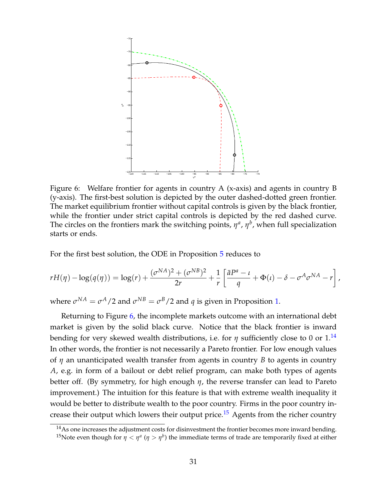

<span id="page-31-0"></span>Figure 6: Welfare frontier for agents in country A (x-axis) and agents in country B (y-axis). The first-best solution is depicted by the outer dashed-dotted green frontier. The market equilibrium frontier without capital controls is given by the black frontier, while the frontier under strict capital controls is depicted by the red dashed curve. The circles on the frontiers mark the switching points,  $\eta^a$ ,  $\eta^b$ , when full specialization starts or ends.

For the first best solution, the ODE in Proposition [5](#page-30-0) reduces to

$$
rH(\eta) - \log(q(\eta)) = \log(r) + \frac{(\sigma^{NA})^2 + (\sigma^{NB})^2}{2r} + \frac{1}{r} \left[ \frac{\bar{a}P^a - \iota}{q} + \Phi(\iota) - \delta - \sigma^A \sigma^{NA} - r \right],
$$

where  $\sigma^{NA} = \sigma^A/2$  and  $\sigma^{NB} = \sigma^B/2$  and  $q$  is given in Proposition [1.](#page-12-1)

Returning to Figure [6,](#page-31-0) the incomplete markets outcome with an international debt market is given by the solid black curve. Notice that the black frontier is inward bending for very skewed wealth distributions, i.e. for  $\eta$  sufficiently close to 0 or  $1^{14}$  $1^{14}$  $1^{14}$ In other words, the frontier is not necessarily a Pareto frontier. For low enough values of *η* an unanticipated wealth transfer from agents in country *B* to agents in country *A*, e.g. in form of a bailout or debt relief program, can make both types of agents better off. (By symmetry, for high enough *η*, the reverse transfer can lead to Pareto improvement.) The intuition for this feature is that with extreme wealth inequality it would be better to distribute wealth to the poor country. Firms in the poor country in-crease their output which lowers their output price.<sup>[15](#page-31-2)</sup> Agents from the richer country

<span id="page-31-2"></span><span id="page-31-1"></span> $14$ As one increases the adjustment costs for disinvestment the frontier becomes more inward bending. <sup>15</sup>Note even though for  $\eta < \eta^a$  ( $\eta > \eta^b$ ) the immediate terms of trade are temporarily fixed at either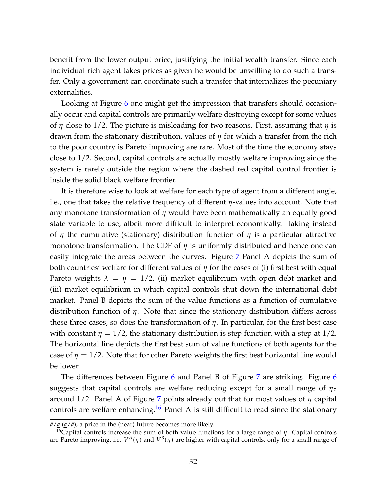benefit from the lower output price, justifying the initial wealth transfer. Since each individual rich agent takes prices as given he would be unwilling to do such a transfer. Only a government can coordinate such a transfer that internalizes the pecuniary externalities.

Looking at Figure [6](#page-31-0) one might get the impression that transfers should occasionally occur and capital controls are primarily welfare destroying except for some values of *η* close to 1/2. The picture is misleading for two reasons. First, assuming that *η* is drawn from the stationary distribution, values of *η* for which a transfer from the rich to the poor country is Pareto improving are rare. Most of the time the economy stays close to 1/2. Second, capital controls are actually mostly welfare improving since the system is rarely outside the region where the dashed red capital control frontier is inside the solid black welfare frontier.

It is therefore wise to look at welfare for each type of agent from a different angle, i.e., one that takes the relative frequency of different *η*-values into account. Note that any monotone transformation of *η* would have been mathematically an equally good state variable to use, albeit more difficult to interpret economically. Taking instead of *η* the cumulative (stationary) distribution function of *η* is a particular attractive monotone transformation. The CDF of *η* is uniformly distributed and hence one can easily integrate the areas between the curves. Figure [7](#page-33-0) Panel A depicts the sum of both countries' welfare for different values of *η* for the cases of (i) first best with equal Pareto weights  $\lambda = \eta = 1/2$ , (ii) market equilibrium with open debt market and (iii) market equilibrium in which capital controls shut down the international debt market. Panel B depicts the sum of the value functions as a function of cumulative distribution function of *η*. Note that since the stationary distribution differs across these three cases, so does the transformation of *η*. In particular, for the first best case with constant  $\eta = 1/2$ , the stationary distribution is step function with a step at 1/2. The horizontal line depicts the first best sum of value functions of both agents for the case of  $\eta = 1/2$ . Note that for other Pareto weights the first best horizontal line would be lower.

The differences between Figure [6](#page-31-0) and Panel B of Figure [7](#page-33-0) are striking. Figure 6 suggests that capital controls are welfare reducing except for a small range of *η*s around 1/2. Panel A of Figure [7](#page-33-0) points already out that for most values of *η* capital controls are welfare enhancing.<sup>[16](#page-32-0)</sup> Panel A is still difficult to read since the stationary

 $\bar{a}/\underline{a}$  ( $\underline{a}/\bar{a}$ ), a price in the (near) future becomes more likely.

<span id="page-32-0"></span><sup>16</sup>Capital controls increase the sum of both value functions for a large range of *η*. Capital controls are Pareto improving, i.e.  $V^A(\eta)$  and  $V^B(\eta)$  are higher with capital controls, only for a small range of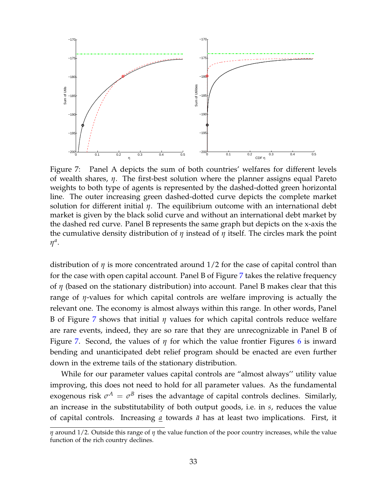

<span id="page-33-0"></span>Figure 7: Panel A depicts the sum of both countries' welfares for different levels of wealth shares, *η*. The first-best solution where the planner assigns equal Pareto weights to both type of agents is represented by the dashed-dotted green horizontal line. The outer increasing green dashed-dotted curve depicts the complete market solution for different initial *η*. The equilibrium outcome with an international debt market is given by the black solid curve and without an international debt market by the dashed red curve. Panel B represents the same graph but depicts on the x-axis the the cumulative density distribution of *η* instead of *η* itself. The circles mark the point *η a* .

distribution of *η* is more concentrated around 1/2 for the case of capital control than for the case with open capital account. Panel B of Figure [7](#page-33-0) takes the relative frequency of *η* (based on the stationary distribution) into account. Panel B makes clear that this range of *η*-values for which capital controls are welfare improving is actually the relevant one. The economy is almost always within this range. In other words, Panel B of Figure [7](#page-33-0) shows that initial *η* values for which capital controls reduce welfare are rare events, indeed, they are so rare that they are unrecognizable in Panel B of Figure [7.](#page-33-0) Second, the values of *η* for which the value frontier Figures [6](#page-31-0) is inward bending and unanticipated debt relief program should be enacted are even further down in the extreme tails of the stationary distribution.

While for our parameter values capital controls are "almost always'' utility value improving, this does not need to hold for all parameter values. As the fundamental exogenous risk  $\sigma^A = \sigma^B$  rises the advantage of capital controls declines. Similarly, an increase in the substitutability of both output goods, i.e. in *s*, reduces the value of capital controls. Increasing *a* towards *a*¯ has at least two implications. First, it

*η* around 1/2. Outside this range of *η* the value function of the poor country increases, while the value function of the rich country declines.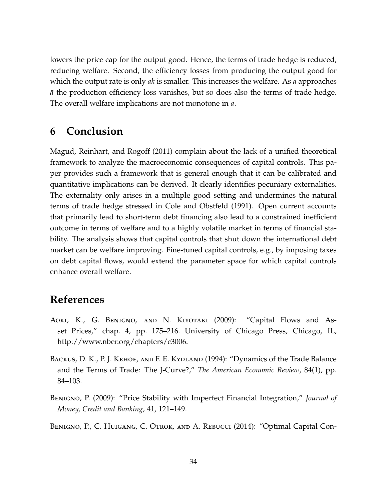lowers the price cap for the output good. Hence, the terms of trade hedge is reduced, reducing welfare. Second, the efficiency losses from producing the output good for which the output rate is only *ak* is smaller. This increases the welfare. As *a* approaches  $\bar{a}$  the production efficiency loss vanishes, but so does also the terms of trade hedge. The overall welfare implications are not monotone in *a*.

# **6 Conclusion**

[Magud, Reinhart, and Rogoff](#page-37-10) [\(2011\)](#page-37-10) complain about the lack of a unified theoretical framework to analyze the macroeconomic consequences of capital controls. This paper provides such a framework that is general enough that it can be calibrated and quantitative implications can be derived. It clearly identifies pecuniary externalities. The externality only arises in a multiple good setting and undermines the natural terms of trade hedge stressed in [Cole and Obstfeld](#page-35-7) [\(1991\)](#page-35-7). Open current accounts that primarily lead to short-term debt financing also lead to a constrained inefficient outcome in terms of welfare and to a highly volatile market in terms of financial stability. The analysis shows that capital controls that shut down the international debt market can be welfare improving. Fine-tuned capital controls, e.g., by imposing taxes on debt capital flows, would extend the parameter space for which capital controls enhance overall welfare.

# **References**

- <span id="page-34-0"></span>Aoki, K., G. Benigno, and N. Kiyotaki (2009): "Capital Flows and Asset Prices," chap. 4, pp. 175–216. University of Chicago Press, Chicago, IL, http://www.nber.org/chapters/c3006.
- <span id="page-34-2"></span>BACKUS, D. K., P. J. KEHOE, AND F. E. KYDLAND (1994): "Dynamics of the Trade Balance and the Terms of Trade: The J-Curve?," *The American Economic Review*, 84(1), pp. 84–103.
- <span id="page-34-3"></span>Benigno, P. (2009): "Price Stability with Imperfect Financial Integration," *Journal of Money, Credit and Banking*, 41, 121–149.
- <span id="page-34-1"></span>Benigno, P., C. Huigang, C. Otrok, and A. Rebucci (2014): "Optimal Capital Con-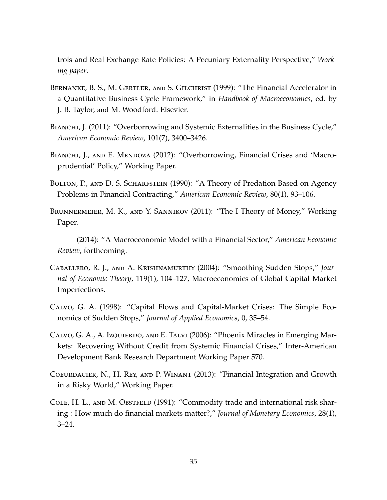trols and Real Exchange Rate Policies: A Pecuniary Externality Perspective," *Working paper*.

- <span id="page-35-2"></span>Bernanke, B. S., M. Gertler, and S. Gilchrist (1999): "The Financial Accelerator in a Quantitative Business Cycle Framework," in *Handbook of Macroeconomics*, ed. by J. B. Taylor, and M. Woodford. Elsevier.
- <span id="page-35-4"></span>BIANCHI, J. (2011): "Overborrowing and Systemic Externalities in the Business Cycle," *American Economic Review*, 101(7), 3400–3426.
- <span id="page-35-5"></span>BIANCHI, J., AND E. MENDOZA (2012): "Overborrowing, Financial Crises and 'Macroprudential' Policy," Working Paper.
- <span id="page-35-10"></span>BOLTON, P., AND D. S. SCHARFSTEIN (1990): "A Theory of Predation Based on Agency Problems in Financial Contracting," *American Economic Review*, 80(1), 93–106.
- <span id="page-35-1"></span>Brunnermeier, M. K., and Y. Sannikov (2011): "The I Theory of Money," Working Paper.

<span id="page-35-0"></span>(2014): "A Macroeconomic Model with a Financial Sector," *American Economic Review*, forthcoming.

- <span id="page-35-3"></span>Caballero, R. J., and A. Krishnamurthy (2004): "Smoothing Sudden Stops," *Journal of Economic Theory*, 119(1), 104–127, Macroeconomics of Global Capital Market Imperfections.
- <span id="page-35-8"></span>Calvo, G. A. (1998): "Capital Flows and Capital-Market Crises: The Simple Economics of Sudden Stops," *Journal of Applied Economics*, 0, 35–54.
- <span id="page-35-9"></span>Calvo, G. A., A. Izquierdo, and E. Talvi (2006): "Phoenix Miracles in Emerging Markets: Recovering Without Credit from Systemic Financial Crises," Inter-American Development Bank Research Department Working Paper 570.
- <span id="page-35-6"></span>Coeurdacier, N., H. Rey, and P. Winant (2013): "Financial Integration and Growth in a Risky World," Working Paper.
- <span id="page-35-7"></span>COLE, H. L., AND M. OBSTFELD (1991): "Commodity trade and international risk sharing : How much do financial markets matter?," *Journal of Monetary Economics*, 28(1), 3–24.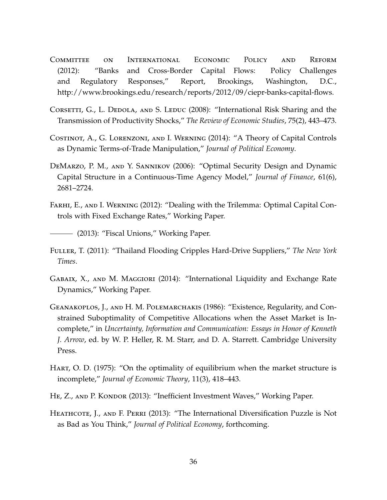- <span id="page-36-0"></span>Committee on International Economic Policy and Reform (2012): "Banks and Cross-Border Capital Flows: Policy Challenges and Regulatory Responses," Report, Brookings, Washington, D.C., http://www.brookings.edu/research/reports/2012/09/ciepr-banks-capital-flows.
- <span id="page-36-6"></span>CORSETTI, G., L. DEDOLA, AND S. LEDUC (2008): "International Risk Sharing and the Transmission of Productivity Shocks," *The Review of Economic Studies*, 75(2), 443–473.
- <span id="page-36-4"></span>Costinot, A., G. Lorenzoni, and I. Werning (2014): "A Theory of Capital Controls as Dynamic Terms-of-Trade Manipulation," *Journal of Political Economy*.
- <span id="page-36-11"></span>DEMARZO, P. M., AND Y. SANNIKOV (2006): "Optimal Security Design and Dynamic Capital Structure in a Continuous-Time Agency Model," *Journal of Finance*, 61(6), 2681–2724.
- <span id="page-36-9"></span>Farhi, E., and I. Werning (2012): "Dealing with the Trilemma: Optimal Capital Controls with Fixed Exchange Rates," Working Paper.

<span id="page-36-10"></span>(2013): "Fiscal Unions," Working Paper.

- <span id="page-36-1"></span>Fuller, T. (2011): "Thailand Flooding Cripples Hard-Drive Suppliers," *The New York Times*.
- <span id="page-36-8"></span>GABAIX, X., AND M. MAGGIORI (2014): "International Liquidity and Exchange Rate Dynamics," Working Paper.
- <span id="page-36-2"></span>Geanakoplos, J., and H. M. Polemarchakis (1986): "Existence, Regularity, and Constrained Suboptimality of Competitive Allocations when the Asset Market is Incomplete," in *Uncertainty, Information and Communication: Essays in Honor of Kenneth J. Arrow*, ed. by W. P. Heller, R. M. Starr, and D. A. Starrett. Cambridge University Press.
- <span id="page-36-3"></span>Hart, O. D. (1975): "On the optimality of equilibrium when the market structure is incomplete," *Journal of Economic Theory*, 11(3), 418–443.
- <span id="page-36-5"></span>HE, Z., AND P. KONDOR (2013): "Inefficient Investment Waves," Working Paper.
- <span id="page-36-7"></span>Heathcote, J., and F. Perri (2013): "The International Diversification Puzzle is Not as Bad as You Think," *Journal of Political Economy*, forthcoming.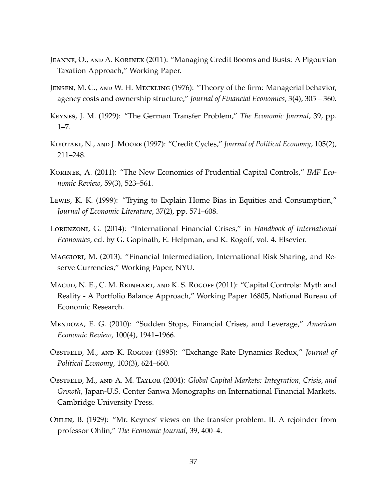- <span id="page-37-3"></span>Jeanne, O., and A. Korinek (2011): "Managing Credit Booms and Busts: A Pigouvian Taxation Approach," Working Paper.
- <span id="page-37-12"></span>Jensen, M. C., and W. H. Meckling (1976): "Theory of the firm: Managerial behavior, agency costs and ownership structure," *Journal of Financial Economics*, 3(4), 305 – 360.
- <span id="page-37-6"></span>Keynes, J. M. (1929): "The German Transfer Problem," *The Economic Journal*, 39, pp.  $1 - 7$ .
- <span id="page-37-0"></span>Kiyotaki, N., and J. Moore (1997): "Credit Cycles," *Journal of Political Economy*, 105(2), 211–248.
- <span id="page-37-1"></span>Korinek, A. (2011): "The New Economics of Prudential Capital Controls," *IMF Economic Review*, 59(3), 523–561.
- <span id="page-37-11"></span>Lewis, K. K. (1999): "Trying to Explain Home Bias in Equities and Consumption," *Journal of Economic Literature*, 37(2), pp. 571–608.
- <span id="page-37-8"></span>Lorenzoni, G. (2014): "International Financial Crises," in *Handbook of International Economics*, ed. by G. Gopinath, E. Helpman, and K. Rogoff, vol. 4. Elsevier.
- <span id="page-37-4"></span>Maggiori, M. (2013): "Financial Intermediation, International Risk Sharing, and Reserve Currencies," Working Paper, NYU.
- <span id="page-37-10"></span>Magud, N. E., C. M. Reinhart, and K. S. Rogoff (2011): "Capital Controls: Myth and Reality - A Portfolio Balance Approach," Working Paper 16805, National Bureau of Economic Research.
- <span id="page-37-2"></span>Mendoza, E. G. (2010): "Sudden Stops, Financial Crises, and Leverage," *American Economic Review*, 100(4), 1941–1966.
- <span id="page-37-5"></span>Obstfeld, M., and K. Rogoff (1995): "Exchange Rate Dynamics Redux," *Journal of Political Economy*, 103(3), 624–660.
- <span id="page-37-9"></span>Obstfeld, M., and A. M. Taylor (2004): *Global Capital Markets: Integration, Crisis, and Growth*, Japan-U.S. Center Sanwa Monographs on International Financial Markets. Cambridge University Press.
- <span id="page-37-7"></span>Ohlin, B. (1929): "Mr. Keynes' views on the transfer problem. II. A rejoinder from professor Ohlin," *The Economic Journal*, 39, 400–4.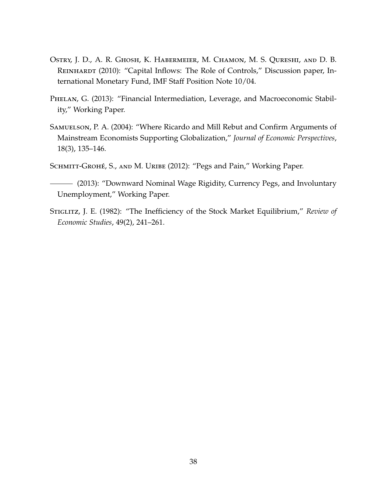- <span id="page-38-0"></span>Ostry, J. D., A. R. Ghosh, K. Habermeier, M. Chamon, M. S. Qureshi, and D. B. REINHARDT (2010): "Capital Inflows: The Role of Controls," Discussion paper, International Monetary Fund, IMF Staff Position Note 10/04.
- <span id="page-38-2"></span>PHELAN, G. (2013): "Financial Intermediation, Leverage, and Macroeconomic Stability," Working Paper.
- <span id="page-38-1"></span>SAMUELSON, P. A. (2004): "Where Ricardo and Mill Rebut and Confirm Arguments of Mainstream Economists Supporting Globalization," *Journal of Economic Perspectives*, 18(3), 135–146.

<span id="page-38-4"></span>SCHMITT-GROHÉ, S., AND M. URIBE (2012): "Pegs and Pain," Working Paper.

<span id="page-38-5"></span>(2013): "Downward Nominal Wage Rigidity, Currency Pegs, and Involuntary Unemployment," Working Paper.

<span id="page-38-3"></span>Stiglitz, J. E. (1982): "The Inefficiency of the Stock Market Equilibrium," *Review of Economic Studies*, 49(2), 241–261.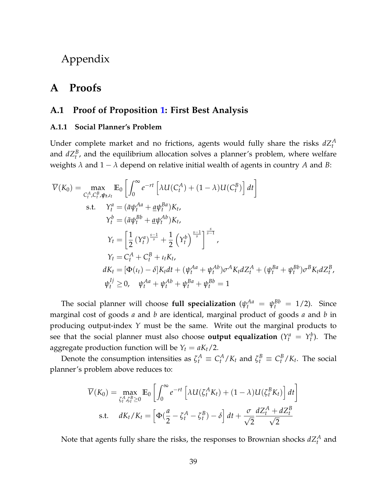Appendix

# **A Proofs**

### <span id="page-39-0"></span>**A.1 Proof of Proposition [1:](#page-12-1) First Best Analysis**

#### **A.1.1 Social Planner's Problem**

Under complete market and no frictions, agents would fully share the risks  $dZ_t^A$ and  $dZ_t^B$ , and the equilibrium allocation solves a planner's problem, where welfare weights  $\lambda$  and  $1 - \lambda$  depend on relative initial wealth of agents in country  $A$  and  $B$ :

$$
\overline{V}(K_{0}) = \max_{C_{t}^{A}, C_{t}^{B}, \psi_{t}, \iota_{t}} \mathbb{E}_{0} \left[ \int_{0}^{\infty} e^{-rt} \left[ \lambda U(C_{t}^{A}) + (1 - \lambda)U(C_{t}^{B}) \right] dt \right]
$$
\ns.t.  $Y_{t}^{a} = (\bar{a}\psi_{t}^{Aa} + \underline{a}\psi_{t}^{Ba})K_{t},$   
\n $Y_{t}^{b} = (\bar{a}\psi_{t}^{Bb} + \underline{a}\psi_{t}^{Ab})K_{t},$   
\n $Y_{t} = \left[ \frac{1}{2} \left( Y_{t}^{a} \right)^{\frac{s-1}{s}} + \frac{1}{2} \left( Y_{t}^{b} \right)^{\frac{s-1}{s}} \right]^{\frac{s}{s-1}},$   
\n $Y_{t} = C_{t}^{A} + C_{t}^{B} + \iota_{t}K_{t},$   
\n $dK_{t} = [\Phi(\iota_{t}) - \delta]K_{t}dt + (\psi_{t}^{Aa} + \psi_{t}^{Ab})\sigma^{A}K_{t}dZ_{t}^{A} + (\psi_{t}^{Ba} + \psi_{t}^{Bb})\sigma^{B}K_{t}dZ_{t}^{B},$   
\n $\psi_{t}^{Ij} \geq 0, \quad \psi_{t}^{Aa} + \psi_{t}^{Ab} + \psi_{t}^{Ba} + \psi_{t}^{Bb} = 1$ 

The social planner will choose **full specialization**  $(\psi_t^{Aa} = \psi_t^{Bb} = 1/2)$ . Since marginal cost of goods *a* and *b* are identical, marginal product of goods *a* and *b* in producing output-index *Y* must be the same. Write out the marginal products to see that the social planner must also choose **output equalization**  $(Y_t^a = Y_t^b)$ . The aggregate production function will be  $Y_t = aK_t/2$ .

Denote the consumption intensities as  $\zeta_t^A \equiv C_t^A/K_t$  and  $\zeta_t^B \equiv C_t^B/K_t$ . The social planner's problem above reduces to:

$$
\overline{V}(K_0) = \max_{\zeta_t^A, \zeta_t^B \ge 0} \mathbb{E}_0 \left[ \int_0^\infty e^{-rt} \left[ \lambda U(\zeta_t^A K_t) + (1 - \lambda) U(\zeta_t^B K_t) \right] dt \right]
$$
  
s.t.  $dK_t/K_t = \left[ \Phi(\frac{a}{2} - \zeta_t^A - \zeta_t^B) - \delta \right] dt + \frac{\sigma}{\sqrt{2}} \frac{dZ_t^A + dZ_t^B}{\sqrt{2}}$ 

Note that agents fully share the risks, the responses to Brownian shocks  $dZ_t^A$  and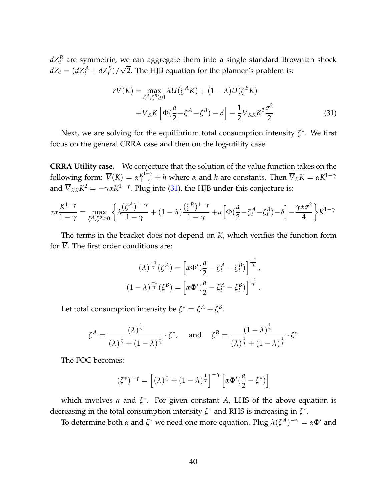$dZ_t^B$  are symmetric, we can aggregate them into a single standard Brownian shock  $dZ_t = (dZ_t^A + dZ_t^B)/\sqrt{2}$ . The HJB equation for the planner's problem is:

<span id="page-40-0"></span>
$$
r\overline{V}(K) = \max_{\zeta^A, \zeta^B \ge 0} \lambda U(\zeta^A K) + (1 - \lambda)U(\zeta^B K)
$$
  
 
$$
+ \overline{V}_K K \left[ \Phi(\frac{a}{2} - \zeta^A - \zeta^B) - \delta \right] + \frac{1}{2} \overline{V}_{KK} K^2 \frac{\sigma^2}{2}
$$
(31)

Next, we are solving for the equilibrium total consumption intensity *ζ* ∗ . We first focus on the general CRRA case and then on the log-utility case.

**CRRA Utility case.** We conjecture that the solution of the value function takes on the following form:  $\overline{V}(K) = \alpha \frac{K^{1-\gamma}}{1-\gamma} + h$  where  $\alpha$  and  $h$  are constants. Then  $\overline{V}_K K = \alpha K^{1-\gamma}$ and  $\overline{V}_{KK}K^2=-\gamma\alpha K^{1-\gamma}.$  Plug into [\(31\)](#page-40-0), the HJB under this conjecture is:

$$
r\alpha \frac{K^{1-\gamma}}{1-\gamma} = \max_{\zeta^A, \zeta^B \ge 0} \left\{ \lambda \frac{(\zeta^A)^{1-\gamma}}{1-\gamma} + (1-\lambda) \frac{(\zeta^B)^{1-\gamma}}{1-\gamma} + \alpha \left[ \Phi(\frac{a}{2} - \zeta_t^A - \zeta_t^B) - \delta \right] - \frac{\gamma \alpha \sigma^2}{4} \right\} K^{1-\gamma}
$$

The terms in the bracket does not depend on *K*, which verifies the function form for  $\overline{V}$ . The first order conditions are:

$$
(\lambda)^{\frac{-1}{\gamma}}(\zeta^A) = \left[\alpha \Phi'(\frac{a}{2} - \zeta_t^A - \zeta_t^B)\right]^{\frac{-1}{\gamma}},
$$

$$
(1 - \lambda)^{\frac{-1}{\gamma}}(\zeta^B) = \left[\alpha \Phi'(\frac{a}{2} - \zeta_t^A - \zeta_t^B)\right]^{\frac{-1}{\gamma}}.
$$

Let total consumption intensity be  $\zeta^* = \zeta^A + \zeta^B$ .

$$
\zeta^A = \frac{(\lambda)^{\frac{1}{\gamma}}}{(\lambda)^{\frac{1}{\gamma}} + (1 - \lambda)^{\frac{1}{\gamma}}} \cdot \zeta^*, \quad \text{and} \quad \zeta^B = \frac{(1 - \lambda)^{\frac{1}{\gamma}}}{(\lambda)^{\frac{1}{\gamma}} + (1 - \lambda)^{\frac{1}{\gamma}}} \cdot \zeta^*
$$

The FOC becomes:

$$
(\zeta^*)^{-\gamma} = \left[ (\lambda)^{\frac{1}{\gamma}} + (1 - \lambda)^{\frac{1}{\gamma}} \right]^{-\gamma} \left[ \alpha \Phi'(\frac{a}{2} - \zeta^*) \right]
$$

which involves *α* and *ζ* ∗ . For given constant *A*, LHS of the above equation is decreasing in the total consumption intensity  $\zeta^*$  and RHS is increasing in  $\zeta^*$ .

To determine both *α* and  $\zeta^*$  we need one more equation. Plug  $\lambda(\zeta^A)^{-\gamma} = \alpha \Phi'$  and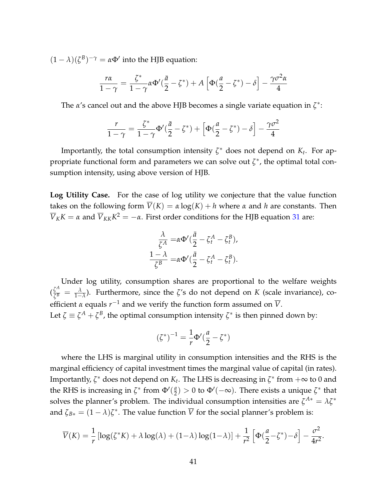$(1 - \lambda)(\zeta^B)^{-\gamma} = \alpha \Phi'$  into the HJB equation:

$$
\frac{r\alpha}{1-\gamma} = \frac{\zeta^*}{1-\gamma} \alpha \Phi'(\frac{\bar{a}}{2}-\zeta^*) + A\left[\Phi(\frac{a}{2}-\zeta^*) - \delta\right] - \frac{\gamma \sigma^2 \alpha}{4}
$$

The *α*'s cancel out and the above HJB becomes a single variate equation in *ζ* ∗ :

$$
\frac{r}{1-\gamma}=\frac{\zeta^*}{1-\gamma}\Phi'(\frac{\bar{a}}{2}-\zeta^*)+\left[\Phi(\frac{a}{2}-\zeta^*)-\delta\right]-\frac{\gamma\sigma^2}{4}
$$

Importantly, the total consumption intensity  $\zeta^*$  does not depend on  $K_t$ . For appropriate functional form and parameters we can solve out  $\zeta^*$ , the optimal total consumption intensity, using above version of HJB.

**Log Utility Case.** For the case of log utility we conjecture that the value function takes on the following form  $\overline{V}(K) = \alpha \log(K) + h$  where  $\alpha$  and  $h$  are constants. Then  $\overline{V}_K K = \alpha$  and  $\overline{V}_{KK} K^2 = -\alpha$ . First order conditions for the HJB equation [31](#page-40-0) are:

$$
\frac{\lambda}{\zeta^A} = \alpha \Phi'(\frac{\bar{a}}{2} - \zeta_t^A - \zeta_t^B),
$$
  

$$
\frac{1 - \lambda}{\zeta^B} = \alpha \Phi'(\frac{\bar{a}}{2} - \zeta_t^A - \zeta_t^B).
$$

Under log utility, consumption shares are proportional to the welfare weights  $\left(\frac{\zeta^A}{\zeta^B}\right)$  $\frac{\zeta^{\prime \prime}}{\zeta^B} = \frac{\lambda}{1-\lambda}$ ). Furthermore, since the *ζ*'s do not depend on *K* (scale invariance), coefficient  $\alpha$  equals  $r^{-1}$  and we verify the function form assumed on  $\overline{V}$ . Let  $\zeta \equiv \zeta^A + \zeta^B$ , the optimal consumption intensity  $\zeta^*$  is then pinned down by:

$$
(\zeta^*)^{-1} = \frac{1}{r} \Phi'(\frac{a}{2} - \zeta^*)
$$

where the LHS is marginal utility in consumption intensities and the RHS is the marginal efficiency of capital investment times the marginal value of capital (in rates). Importantly,  $\zeta^*$  does not depend on  $K_t$ . The LHS is decreasing in  $\zeta^*$  from  $+\infty$  to 0 and the RHS is increasing in  $\zeta^*$  from  $\Phi'(\frac{a}{2})$  $\left(\frac{a}{2}\right) > 0$  to  $\Phi'(-\infty)$ . There exists a unique  $\zeta^*$  that solves the planner's problem. The individual consumption intensities are  $\zeta^{A*} = \lambda \zeta^*$ and  $\zeta_{B*} = (1 - \lambda)\zeta^*$ . The value function  $\overline{V}$  for the social planner's problem is:

$$
\overline{V}(K) = \frac{1}{r} \left[ \log(\zeta^* K) + \lambda \log(\lambda) + (1 - \lambda) \log(1 - \lambda) \right] + \frac{1}{r^2} \left[ \Phi(\frac{a}{2} - \zeta^*) - \delta \right] - \frac{\sigma^2}{4r^2}.
$$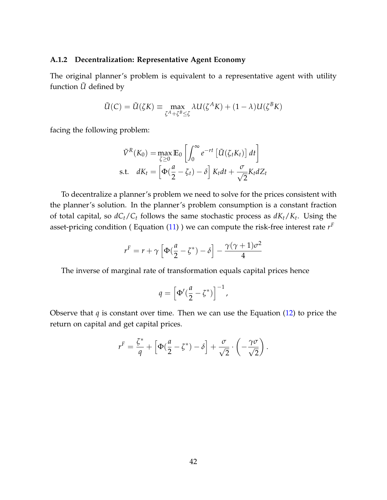#### **A.1.2 Decentralization: Representative Agent Economy**

The original planner's problem is equivalent to a representative agent with utility function  $\tilde{U}$  defined by

$$
\tilde{U}(C) = \tilde{U}(\zeta K) \equiv \max_{\zeta^A + \zeta^B \le \zeta} \lambda U(\zeta^A K) + (1 - \lambda)U(\zeta^B K)
$$

facing the following problem:

$$
\tilde{V}^{R}(K_{0}) = \max_{\zeta \geq 0} \mathbb{E}_{0} \left[ \int_{0}^{\infty} e^{-rt} \left[ \tilde{U}(\zeta_{t} K_{t}) \right] dt \right]
$$
  
s.t.  $dK_{t} = \left[ \Phi(\frac{a}{2} - \zeta_{t}) - \delta \right] K_{t} dt + \frac{\sigma}{\sqrt{2}} K_{t} dZ_{t}$ 

To decentralize a planner's problem we need to solve for the prices consistent with the planner's solution. In the planner's problem consumption is a constant fraction of total capital, so *dCt*/*C<sup>t</sup>* follows the same stochastic process as *dKt*/*K<sup>t</sup>* . Using the asset-pricing condition ( Equation [\(11\)](#page-11-2) ) we can compute the risk-free interest rate *r F*

$$
r^{F} = r + \gamma \left[ \Phi(\frac{a}{2} - \zeta^{*}) - \delta \right] - \frac{\gamma(\gamma + 1)\sigma^{2}}{4}
$$

The inverse of marginal rate of transformation equals capital prices hence

$$
q = \left[\Phi'(\frac{a}{2} - \zeta^*)\right]^{-1},
$$

Observe that *q* is constant over time. Then we can use the Equation [\(12\)](#page-11-0) to price the return on capital and get capital prices.

$$
r^{F} = \frac{\zeta^{*}}{q} + \left[\Phi(\frac{a}{2} - \zeta^{*}) - \delta\right] + \frac{\sigma}{\sqrt{2}} \cdot \left(-\frac{\gamma \sigma}{\sqrt{2}}\right).
$$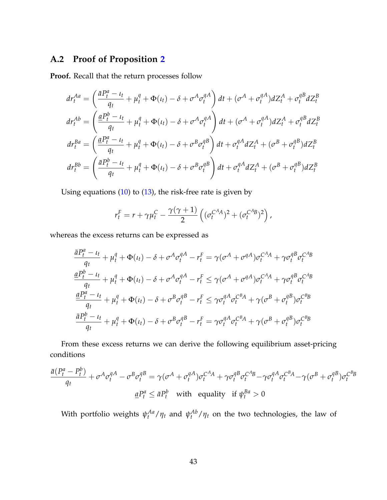### <span id="page-43-0"></span>**A.2 Proof of Proposition [2](#page-13-0)**

**Proof.** Recall that the return processes follow

$$
dr_t^{Aa} = \left(\frac{\bar{a}P_t^a - \iota_t}{q_t} + \mu_t^q + \Phi(\iota_t) - \delta + \sigma^A \sigma_t^{qA}\right) dt + (\sigma^A + \sigma_t^{qA}) dZ_t^A + \sigma_t^{qB} dZ_t^B
$$
  
\n
$$
dr_t^{Ab} = \left(\frac{\underline{a}P_t^b - \iota_t}{q_t} + \mu_t^q + \Phi(\iota_t) - \delta + \sigma^A \sigma_t^{qA}\right) dt + (\sigma^A + \sigma_t^{qA}) dZ_t^A + \sigma_t^{qB} dZ_t^B
$$
  
\n
$$
dr_t^{Ba} = \left(\frac{\underline{a}P_t^a - \iota_t}{q_t} + \mu_t^q + \Phi(\iota_t) - \delta + \sigma^B \sigma_t^{qB}\right) dt + \sigma_t^{qA} dZ_t^A + (\sigma^B + \sigma_t^{qB}) dZ_t^B
$$
  
\n
$$
dr_t^{Bb} = \left(\frac{\bar{a}P_t^b - \iota_t}{q_t} + \mu_t^q + \Phi(\iota_t) - \delta + \sigma^B \sigma_t^{qB}\right) dt + \sigma_t^{qA} dZ_t^A + (\sigma^B + \sigma_t^{qB}) dZ_t^B
$$

Using equations [\(10\)](#page-10-2) to [\(13\)](#page-11-1), the risk-free rate is given by

$$
r_t^F = r + \gamma \mu_t^C - \frac{\gamma(\gamma + 1)}{2} \left( (\sigma_t^{C^A A})^2 + (\sigma_t^{C^A B})^2 \right),
$$

whereas the excess returns can be expressed as

$$
\frac{\bar{a}P_t^a - \iota_t}{q_t} + \mu_t^q + \Phi(\iota_t) - \delta + \sigma^A \sigma_t^{qA} - r_t^F = \gamma(\sigma^A + \sigma^{qA})\sigma_t^{C^A A} + \gamma \sigma_t^{qB} \sigma_t^{C^A B}
$$
\n
$$
\frac{aP_t^b - \iota_t}{q_t} + \mu_t^q + \Phi(\iota_t) - \delta + \sigma^A \sigma_t^{qA} - r_t^F \leq \gamma(\sigma^A + \sigma^{qA})\sigma_t^{C^A A} + \gamma \sigma_t^{qB} \sigma_t^{C^A B}
$$
\n
$$
\frac{aP_t^a - \iota_t}{q_t} + \mu_t^q + \Phi(\iota_t) - \delta + \sigma^B \sigma_t^{qB} - r_t^F \leq \gamma \sigma_t^{qA} \sigma_t^{C^B A} + \gamma(\sigma^B + \sigma_t^{qB})\sigma_t^{C^B B}
$$
\n
$$
\frac{\bar{a}P_t^b - \iota_t}{q_t} + \mu_t^q + \Phi(\iota_t) - \delta + \sigma^B \sigma_t^{qB} - r_t^F = \gamma \sigma_t^{qA} \sigma_t^{C^B A} + \gamma(\sigma^B + \sigma_t^{qB})\sigma_t^{C^B B}
$$

From these excess returns we can derive the following equilibrium asset-pricing conditions

$$
\frac{\bar{a}(P_t^a - P_t^b)}{q_t} + \sigma^A \sigma_t^{qA} - \sigma^B \sigma_t^{qB} = \gamma(\sigma^A + \sigma_t^{qA})\sigma_t^{C^A A} + \gamma \sigma_t^{qB} \sigma_t^{C^A B} - \gamma \sigma_t^{qA} \sigma_t^{C^B A} - \gamma(\sigma^B + \sigma_t^{qB})\sigma_t^{C^B B}
$$

$$
\underline{a}P_t^a \leq \bar{a}P_t^b \quad \text{with equality if } \psi_t^{Ba} > 0
$$

With portfolio weights  $\psi_t^{Aa}/\eta_t$  and  $\psi_t^{Ab}/\eta_t$  on the two technologies, the law of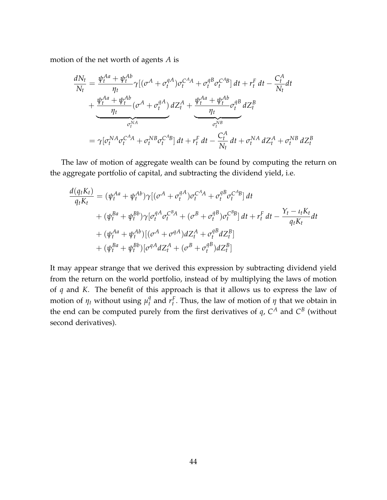motion of the net worth of agents *A* is

$$
\frac{dN_t}{N_t} = \frac{\psi_t^{Aa} + \psi_t^{Ab}}{\eta_t} \gamma \left[ (\sigma^A + \sigma_t^{qA}) \sigma_t^{C^A A} + \sigma_t^{qB} \sigma_t^{C^A B} \right] dt + r_t^F dt - \frac{C_t^A}{N_t} dt
$$

$$
+ \frac{\psi_t^{Aa} + \psi_t^{Ab}}{\eta_t} (\sigma^A + \sigma_t^{qA}) dZ_t^A + \underbrace{\frac{\psi_t^{Aa} + \psi_t^{Ab}}{\eta_t} \sigma_t^{qB} dZ_t^B}_{\sigma_t^{NB}}
$$

$$
= \gamma \left[ \sigma_t^{NA} \sigma_t^{C^A A} + \sigma_t^{NB} \sigma_t^{C^A B} \right] dt + r_t^F dt - \frac{C_t^A}{N_t} dt + \sigma_t^{NA} dZ_t^A + \sigma_t^{NB} dZ_t^B
$$

The law of motion of aggregate wealth can be found by computing the return on the aggregate portfolio of capital, and subtracting the dividend yield, i.e.

$$
\frac{d(q_t K_t)}{q_t K_t} = (\psi_t^{Aa} + \psi_t^{Ab}) \gamma [(\sigma^A + \sigma_t^{qA}) \sigma_t^{C^A A} + \sigma_t^{qB} \sigma_t^{C^A B}] dt \n+ (\psi_t^{Ba} + \psi_t^{Bb}) \gamma [\sigma_t^{qA} \sigma_t^{C^B A} + (\sigma^B + \sigma_t^{qB}) \sigma_t^{C^B B}] dt + r_t^F dt - \frac{Y_t - t_t K_t}{q_t K_t} dt \n+ (\psi_t^{Aa} + \psi_t^{Ab}) [(\sigma^A + \sigma^{qA}) dZ_t^A + \sigma_t^{qB} dZ_t^B] \n+ (\psi_t^{Ba} + \psi_t^{Bb}) [\sigma^{qA} dZ_t^A + (\sigma^B + \sigma_t^{qB}) dZ_t^B]
$$

It may appear strange that we derived this expression by subtracting dividend yield from the return on the world portfolio, instead of by multiplying the laws of motion of *q* and *K*. The benefit of this approach is that it allows us to express the law of motion of  $\eta_t$  without using  $\mu_t^q$  $\sigma_t^q$  and  $r_t^F$ . Thus, the law of motion of *η* that we obtain in the end can be computed purely from the first derivatives of  $q$ ,  $C^A$  and  $C^B$  (without second derivatives).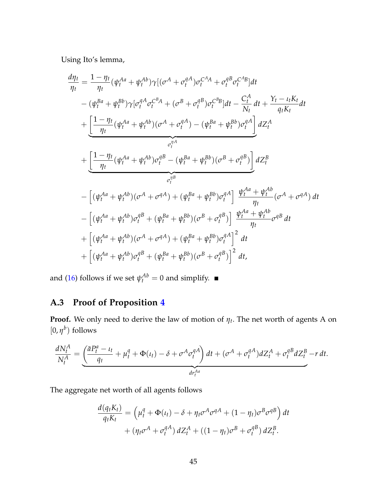Using Ito's lemma,

$$
\frac{d\eta_{t}}{\eta_{t}} = \frac{1 - \eta_{t}}{\eta_{t}} (\psi_{t}^{Aa} + \psi_{t}^{Ab}) \gamma [(\sigma^{A} + \sigma_{t}^{AA}) \sigma_{t}^{CA} + \sigma_{t}^{B} \sigma_{t}^{CA}B]dt \n- (\psi_{t}^{Ba} + \psi_{t}^{Bb}) \gamma [\sigma_{t}^{A} \sigma_{t}^{CBA} + (\sigma^{B} + \sigma_{t}^{B}) \sigma_{t}^{CB}] dt - \frac{C_{t}^{A}}{N_{t}} dt + \frac{Y_{t} - \iota_{t} K_{t}}{q_{t} K_{t}} dt \n+ \underbrace{\left[\frac{1 - \eta_{t}}{\eta_{t}} (\psi_{t}^{Aa} + \psi_{t}^{Ab}) (\sigma^{A} + \sigma_{t}^{AA}) - (\psi_{t}^{Ba} + \psi_{t}^{Bb}) \sigma_{t}^{AA}\right]}_{\sigma_{t}^{\eta_{A}}} dZ_{t}^{A} \n+ \underbrace{\left[\frac{1 - \eta_{t}}{\eta_{t}} (\psi_{t}^{Aa} + \psi_{t}^{Ab}) \sigma_{t}^{aB} - (\psi_{t}^{Ba} + \psi_{t}^{Bb}) (\sigma^{B} + \sigma_{t}^{aB})\right]}_{\sigma_{t}^{\eta_{B}}} dZ_{t}^{B} \n- \left[(\psi_{t}^{Aa} + \psi_{t}^{Ab}) (\sigma^{A} + \sigma^{aA}) + (\psi_{t}^{Ba} + \psi_{t}^{Bb}) \sigma_{t}^{aA}\right] \frac{\psi_{t}^{Aa} + \psi_{t}^{Ab}}{\eta_{t}} (\sigma^{A} + \sigma^{aA}) dt \n- \left[(\psi_{t}^{Aa} + \psi_{t}^{Ab}) \sigma_{t}^{aB} + (\psi_{t}^{Ba} + \psi_{t}^{Bb}) (\sigma^{B} + \sigma_{t}^{aB})\right] \frac{\psi_{t}^{Aa} + \psi_{t}^{Ab}}{\eta_{t}} \sigma^{aB} dt \n+ \left[(\psi_{t}^{Aa} + \psi_{t}^{Ab}) (\sigma^{A} + \sigma^{aA}) + (\psi_{t}^{Ba} + \psi_{t}^{Bb}) \sigma_{t}^{aA}\right]^{2} dt \n+ \left[(\psi_{t}^{Aa} + \psi_{t}^{Ab}) \sigma_{t}^{aB} + (\psi_{t}^{Ba} + \psi_{t}^{B
$$

and [\(16\)](#page-14-1) follows if we set  $\psi_t^{Ab} = 0$  and simplify.

# <span id="page-45-0"></span>**A.3 Proof of Proposition [4](#page-24-0)**

**Proof.** We only need to derive the law of motion of *η<sup>t</sup>* . The net worth of agents A on  $[0, \eta^b)$  follows

$$
\frac{dN_t^A}{N_t^A} = \underbrace{\left(\frac{\bar{a}P_t^a - \iota_t}{q_t} + \mu_t^q + \Phi(\iota_t) - \delta + \sigma^A \sigma_t^{qA}\right) dt + (\sigma^A + \sigma_t^{qA}) dZ_t^A + \sigma_t^{qB} dZ_t^B - r dt.}_{dr_t^{Aa}}
$$

The aggregate net worth of all agents follows

$$
\frac{d(q_t K_t)}{q_t K_t} = \left(\mu_t^q + \Phi(t_t) - \delta + \eta_t \sigma^A \sigma^{qA} + (1 - \eta_t) \sigma^B \sigma^{qB}\right) dt + \left(\eta_t \sigma^A + \sigma_t^{qA}\right) dZ_t^A + \left((1 - \eta_t) \sigma^B + \sigma_t^{qB}\right) dZ_t^B.
$$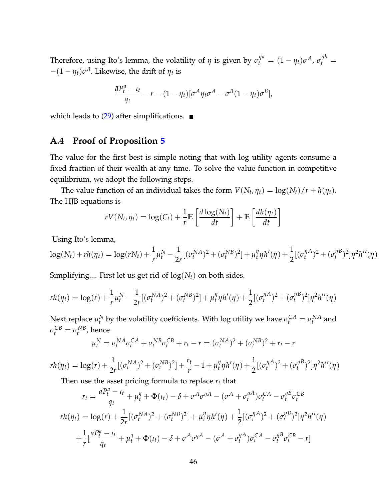Therefore, using Ito's lemma, the volatility of  $\eta$  is given by  $\sigma_t^{\eta a} = (1 - \eta_t)\sigma^A$ ,  $\sigma_t^{\eta b} =$  $-(1 - \eta_t)\sigma^B$ . Likewise, the drift of  $\eta_t$  is

$$
\frac{\bar{a}P_t^a - \iota_t}{q_t} - r - (1 - \eta_t)[\sigma^A \eta_t \sigma^A - \sigma^B (1 - \eta_t) \sigma^B],
$$

which leads to  $(29)$  after simplifications.  $\blacksquare$ 

### <span id="page-46-0"></span>**A.4 Proof of Proposition [5](#page-30-0)**

The value for the first best is simple noting that with log utility agents consume a fixed fraction of their wealth at any time. To solve the value function in competitive equilibrium, we adopt the following steps.

The value function of an individual takes the form  $V(N_t, \eta_t) = \log(N_t)/r + h(\eta_t)$ . The HJB equations is

$$
rV(N_t, \eta_t) = \log(C_t) + \frac{1}{r} \mathbb{E}\left[\frac{d \log(N_t)}{dt}\right] + \mathbb{E}\left[\frac{dh(\eta_t)}{dt}\right]
$$

Using Ito's lemma,

$$
\log(N_t) + rh(\eta_t) = \log(rN_t) + \frac{1}{r}\mu_t^N - \frac{1}{2r}[(\sigma_t^{NA})^2 + (\sigma_t^{NB})^2] + \mu_t^{\eta}\eta h'(\eta) + \frac{1}{2}[(\sigma_t^{\eta A})^2 + (\sigma_t^{\eta B})^2]\eta^2 h''(\eta)
$$

Simplifying.... First let us get rid of log(*Nt*) on both sides.

$$
rh(\eta_t) = \log(r) + \frac{1}{r} \mu_t^N - \frac{1}{2r} [(\sigma_t^{NA})^2 + (\sigma_t^{NB})^2] + \mu_t^{\eta} \eta h'(\eta) + \frac{1}{2} [(\sigma_t^{\eta A})^2 + (\sigma_t^{\eta B})^2] \eta^2 h''(\eta)
$$

Next replace  $\mu_t^N$  by the volatility coefficients. With log utility we have  $\sigma_t^{CA} = \sigma_t^{NA}$  and  $\sigma_t^{CB} = \sigma_t^{NB}$ , hence

$$
\mu_t^N = \sigma_t^{NA} \sigma_t^{CA} + \sigma_t^{NB} \sigma_t^{CB} + r_t - r = (\sigma_t^{NA})^2 + (\sigma_t^{NB})^2 + r_t - r
$$

$$
rh(\eta_t) = \log(r) + \frac{1}{2r} [(\sigma_t^{NA})^2 + (\sigma_t^{NB})^2] + \frac{r_t}{r} - 1 + \mu_t^{\eta} \eta h'(\eta) + \frac{1}{2} [(\sigma_t^{\eta A})^2 + (\sigma_t^{\eta B})^2] \eta^2 h''(\eta)
$$

Then use the asset pricing formula to replace *r<sup>t</sup>* that

$$
r_{t} = \frac{\bar{a}P_{t}^{a} - \iota_{t}}{q_{t}} + \mu_{t}^{q} + \Phi(\iota_{t}) - \delta + \sigma^{A}\sigma^{q} A - (\sigma^{A} + \sigma_{t}^{q} A)\sigma_{t}^{CA} - \sigma_{t}^{q} B \sigma_{t}^{CB}
$$
  

$$
r h(\eta_{t}) = \log(r) + \frac{1}{2r} [(\sigma_{t}^{NA})^{2} + (\sigma_{t}^{NB})^{2}] + \mu_{t}^{q} \eta h'(\eta) + \frac{1}{2} [(\sigma_{t}^{\eta A})^{2} + (\sigma_{t}^{\eta B})^{2}] \eta^{2} h''(\eta)
$$
  

$$
+ \frac{1}{r} [\frac{\bar{a}P_{t}^{a} - \iota_{t}}{q_{t}} + \mu_{t}^{q} + \Phi(\iota_{t}) - \delta + \sigma^{A}\sigma^{q} A - (\sigma^{A} + \sigma_{t}^{q} A)\sigma_{t}^{CA} - \sigma_{t}^{q} B \sigma_{t}^{CB} - r]
$$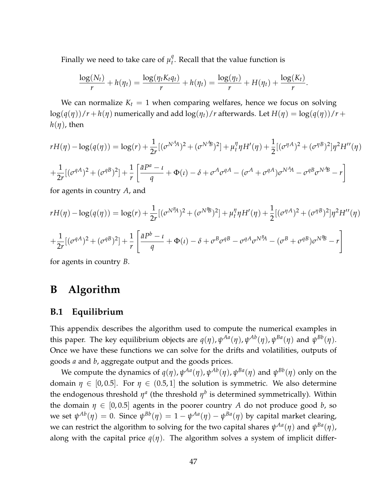Finally we need to take care of  $\mu_t^q$  $t<sub>t</sub><sup>q</sup>$ . Recall that the value function is

$$
\frac{\log(N_t)}{r} + h(\eta_t) = \frac{\log(\eta_t K_t \eta_t)}{r} + h(\eta_t) = \frac{\log(\eta_t)}{r} + H(\eta_t) + \frac{\log(K_t)}{r}.
$$

We can normalize  $K_t = 1$  when comparing welfares, hence we focus on solving  $\log(q(\eta))/r + h(\eta)$  numerically and add  $\log(\eta_t)/r$  afterwards. Let  $H(\eta) = \log(q(\eta))/r +$  $h(\eta)$ , then

$$
rH(\eta) - \log(q(\eta)) = \log(r) + \frac{1}{2r} [(\sigma^{N^A}A)^2 + (\sigma^{N^B}B)^2] + \mu_t^{\eta} \eta H'(\eta) + \frac{1}{2} [(\sigma^{\eta A})^2 + (\sigma^{\eta B})^2] \eta^2 H''(\eta)
$$
  
+ 
$$
\frac{1}{2r} [(\sigma^{qA})^2 + (\sigma^{qB})^2] + \frac{1}{r} \left[ \frac{\bar{a}P^a - \iota}{q} + \Phi(\iota) - \delta + \sigma^A \sigma^{qA} - (\sigma^A + \sigma^{qA}) \sigma^{N^A}A - \sigma^{qB} \sigma^{N^A}B - r \right]
$$

for agents in country *A*, and

$$
rH(\eta) - \log(q(\eta)) = \log(r) + \frac{1}{2r} [(\sigma^{N^B}A)^2 + (\sigma^{N^B}B)^2] + \mu_t^{\eta} \eta H'(\eta) + \frac{1}{2} [(\sigma^{\eta A})^2 + (\sigma^{\eta B})^2] \eta^2 H''(\eta)
$$
  
+ 
$$
\frac{1}{2r} [(\sigma^{qA})^2 + (\sigma^{qB})^2] + \frac{1}{r} \left[ \frac{\bar{a}P^b - \iota}{q} + \Phi(\iota) - \delta + \sigma^B \sigma^{qB} - \sigma^{qA} \sigma^{N^B}A - (\sigma^B + \sigma^{qB}) \sigma^{N^B}B - r \right]
$$

for agents in country *B*.

# <span id="page-47-0"></span>**B Algorithm**

### **B.1 Equilibrium**

This appendix describes the algorithm used to compute the numerical examples in this paper. The key equilibrium objects are  $q(\eta)$ ,  $\psi^{Aa}(\eta)$ ,  $\psi^{Ab}(\eta)$ ,  $\psi^{Ba}(\eta)$  and  $\psi^{Bb}(\eta)$ . Once we have these functions we can solve for the drifts and volatilities, outputs of goods *a* and *b*, aggregate output and the goods prices.

We compute the dynamics of  $q(\eta)$ ,  $\psi^{Aa}(\eta)$ ,  $\psi^{Ab}(\eta)$ ,  $\psi^{Ba}(\eta)$  and  $\psi^{Bb}(\eta)$  only on the domain  $\eta \in [0, 0.5]$ . For  $\eta \in (0.5, 1]$  the solution is symmetric. We also determine the endogenous threshold  $\eta^a$  (the threshold  $\eta^b$  is determined symmetrically). Within the domain  $\eta \in [0, 0.5]$  agents in the poorer country *A* do not produce good *b*, so  $\psi^{Ab}(\eta) = 0$ . Since  $\psi^{Bb}(\eta) = 1 - \psi^{Aa}(\eta) - \psi^{Ba}(\eta)$  by capital market clearing, we can restrict the algorithm to solving for the two capital shares  $\psi^{Aa}(\eta)$  and  $\psi^{Ba}(\eta)$ , along with the capital price  $q(\eta)$ . The algorithm solves a system of implicit differ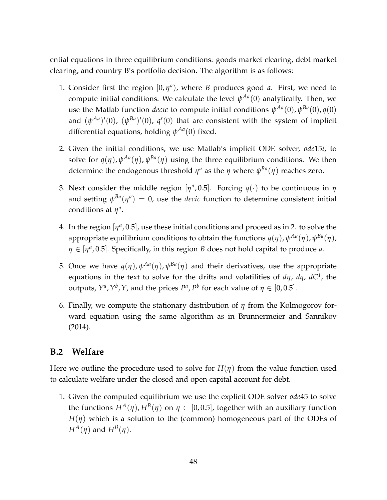ential equations in three equilibrium conditions: goods market clearing, debt market clearing, and country B's portfolio decision. The algorithm is as follows:

- 1. Consider first the region  $[0, \eta^a)$ , where *B* produces good *a*. First, we need to compute initial conditions. We calculate the level *ψ Aa*(0) analytically. Then, we use the Matlab function *decic* to compute initial conditions  $\psi^{Aa}(0)$ ,  $\psi^{Ba}(0)$ ,  $q(0)$ and  $(\psi^{Aa})'(0)$ ,  $(\psi^{Ba})'(0)$ ,  $q'(0)$  that are consistent with the system of implicit differential equations, holding *ψ Aa*(0) fixed.
- 2. Given the initial conditions, we use Matlab's implicit ODE solver, *ode*15*i*, to solve for  $q(\eta)$ ,  $\psi^{Aa}(\eta)$ ,  $\psi^{Ba}(\eta)$  using the three equilibrium conditions. We then determine the endogenous threshold  $\eta^a$  as the  $\eta$  where  $\psi^{Ba}(\eta)$  reaches zero.
- 3. Next consider the middle region  $[\eta^a, 0.5]$ . Forcing  $q(\cdot)$  to be continuous in  $\eta$ and setting  $\psi^{Ba}(\eta^a) = 0$ , use the *decic* function to determine consistent initial conditions at  $\eta^a$ .
- 4. In the region  $[\eta^a, 0.5]$ , use these initial conditions and proceed as in 2. to solve the appropriate equilibrium conditions to obtain the functions *q*(*η*), *ψ Aa*(*η*), *ψ Ba*(*η*), *η* ∈ [*η<sup>a</sup>*, 0.5]. Specifically, in this region *B* does not hold capital to produce *a*.
- 5. Once we have  $q(\eta)$ ,  $\psi^{Aa}(\eta)$ ,  $\psi^{Ba}(\eta)$  and their derivatives, use the appropriate equations in the text to solve for the drifts and volatilities of *dη*, *dq*, *dC<sup>I</sup>* , the outputs,  $Y^a$ ,  $Y^b$ ,  $Y$ , and the prices  $P^a$ ,  $P^b$  for each value of  $\eta \in [0,0.5]$ .
- 6. Finally, we compute the stationary distribution of *η* from the Kolmogorov forward equation using the same algorithm as in Brunnermeier and Sannikov (2014).

### **B.2 Welfare**

Here we outline the procedure used to solve for  $H(\eta)$  from the value function used to calculate welfare under the closed and open capital account for debt.

1. Given the computed equilibrium we use the explicit ODE solver *ode*45 to solve the functions  $H^A(\eta)$ ,  $H^B(\eta)$  on  $\eta \in [0,0.5]$ , together with an auxiliary function  $H(\eta)$  which is a solution to the (common) homogeneous part of the ODEs of  $H^A(\eta)$  and  $H^B(\eta)$ .